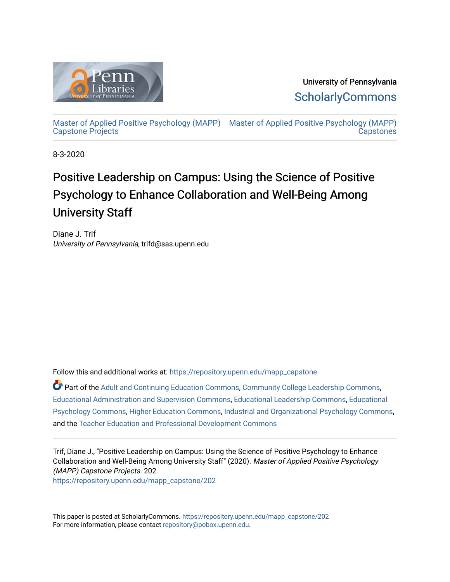

University of Pennsylvania **ScholarlyCommons** 

[Master of Applied Positive Psychology \(MAPP\)](https://repository.upenn.edu/mapp_capstone) [Master of Applied Positive Psychology \(MAPP\)](https://repository.upenn.edu/mapp_capstones)  [Capstone Projects](https://repository.upenn.edu/mapp_capstone)  **Capstones** 

8-3-2020

# Positive Leadership on Campus: Using the Science of Positive Psychology to Enhance Collaboration and Well-Being Among University Staff

Diane J. Trif University of Pennsylvania, trifd@sas.upenn.edu

Follow this and additional works at: [https://repository.upenn.edu/mapp\\_capstone](https://repository.upenn.edu/mapp_capstone?utm_source=repository.upenn.edu%2Fmapp_capstone%2F202&utm_medium=PDF&utm_campaign=PDFCoverPages) 

Part of the [Adult and Continuing Education Commons,](http://network.bepress.com/hgg/discipline/1375?utm_source=repository.upenn.edu%2Fmapp_capstone%2F202&utm_medium=PDF&utm_campaign=PDFCoverPages) [Community College Leadership Commons](http://network.bepress.com/hgg/discipline/1039?utm_source=repository.upenn.edu%2Fmapp_capstone%2F202&utm_medium=PDF&utm_campaign=PDFCoverPages), [Educational Administration and Supervision Commons,](http://network.bepress.com/hgg/discipline/787?utm_source=repository.upenn.edu%2Fmapp_capstone%2F202&utm_medium=PDF&utm_campaign=PDFCoverPages) [Educational Leadership Commons,](http://network.bepress.com/hgg/discipline/1230?utm_source=repository.upenn.edu%2Fmapp_capstone%2F202&utm_medium=PDF&utm_campaign=PDFCoverPages) [Educational](http://network.bepress.com/hgg/discipline/798?utm_source=repository.upenn.edu%2Fmapp_capstone%2F202&utm_medium=PDF&utm_campaign=PDFCoverPages) [Psychology Commons,](http://network.bepress.com/hgg/discipline/798?utm_source=repository.upenn.edu%2Fmapp_capstone%2F202&utm_medium=PDF&utm_campaign=PDFCoverPages) [Higher Education Commons,](http://network.bepress.com/hgg/discipline/1245?utm_source=repository.upenn.edu%2Fmapp_capstone%2F202&utm_medium=PDF&utm_campaign=PDFCoverPages) [Industrial and Organizational Psychology Commons,](http://network.bepress.com/hgg/discipline/412?utm_source=repository.upenn.edu%2Fmapp_capstone%2F202&utm_medium=PDF&utm_campaign=PDFCoverPages) and the [Teacher Education and Professional Development Commons](http://network.bepress.com/hgg/discipline/803?utm_source=repository.upenn.edu%2Fmapp_capstone%2F202&utm_medium=PDF&utm_campaign=PDFCoverPages) 

Trif, Diane J., "Positive Leadership on Campus: Using the Science of Positive Psychology to Enhance Collaboration and Well-Being Among University Staff" (2020). Master of Applied Positive Psychology (MAPP) Capstone Projects. 202.

[https://repository.upenn.edu/mapp\\_capstone/202](https://repository.upenn.edu/mapp_capstone/202?utm_source=repository.upenn.edu%2Fmapp_capstone%2F202&utm_medium=PDF&utm_campaign=PDFCoverPages) 

This paper is posted at ScholarlyCommons. [https://repository.upenn.edu/mapp\\_capstone/202](https://repository.upenn.edu/mapp_capstone/202)  For more information, please contact [repository@pobox.upenn.edu.](mailto:repository@pobox.upenn.edu)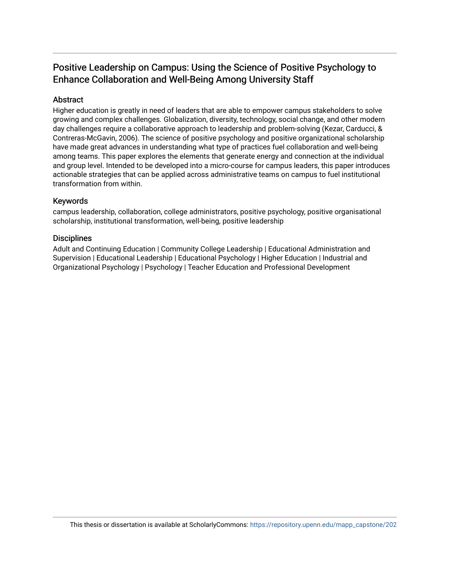# Positive Leadership on Campus: Using the Science of Positive Psychology to Enhance Collaboration and Well-Being Among University Staff

## Abstract

Higher education is greatly in need of leaders that are able to empower campus stakeholders to solve growing and complex challenges. Globalization, diversity, technology, social change, and other modern day challenges require a collaborative approach to leadership and problem-solving (Kezar, Carducci, & Contreras-McGavin, 2006). The science of positive psychology and positive organizational scholarship have made great advances in understanding what type of practices fuel collaboration and well-being among teams. This paper explores the elements that generate energy and connection at the individual and group level. Intended to be developed into a micro-course for campus leaders, this paper introduces actionable strategies that can be applied across administrative teams on campus to fuel institutional transformation from within.

## Keywords

campus leadership, collaboration, college administrators, positive psychology, positive organisational scholarship, institutional transformation, well-being, positive leadership

## **Disciplines**

Adult and Continuing Education | Community College Leadership | Educational Administration and Supervision | Educational Leadership | Educational Psychology | Higher Education | Industrial and Organizational Psychology | Psychology | Teacher Education and Professional Development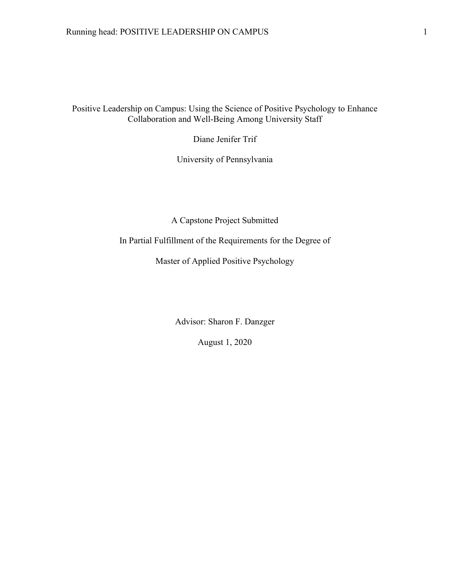Positive Leadership on Campus: Using the Science of Positive Psychology to Enhance Collaboration and Well-Being Among University Staff

Diane Jenifer Trif

University of Pennsylvania

A Capstone Project Submitted

In Partial Fulfillment of the Requirements for the Degree of

Master of Applied Positive Psychology

Advisor: Sharon F. Danzger

August 1, 2020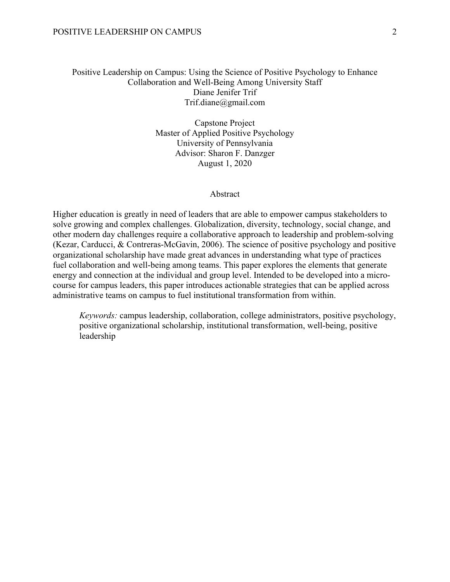## Positive Leadership on Campus: Using the Science of Positive Psychology to Enhance Collaboration and Well-Being Among University Staff Diane Jenifer Trif Trif.diane@gmail.com

Capstone Project Master of Applied Positive Psychology University of Pennsylvania Advisor: Sharon F. Danzger August 1, 2020

#### Abstract

Higher education is greatly in need of leaders that are able to empower campus stakeholders to solve growing and complex challenges. Globalization, diversity, technology, social change, and other modern day challenges require a collaborative approach to leadership and problem-solving (Kezar, Carducci, & Contreras-McGavin, 2006). The science of positive psychology and positive organizational scholarship have made great advances in understanding what type of practices fuel collaboration and well-being among teams. This paper explores the elements that generate energy and connection at the individual and group level. Intended to be developed into a microcourse for campus leaders, this paper introduces actionable strategies that can be applied across administrative teams on campus to fuel institutional transformation from within.

*Keywords:* campus leadership, collaboration, college administrators, positive psychology, positive organizational scholarship, institutional transformation, well-being, positive leadership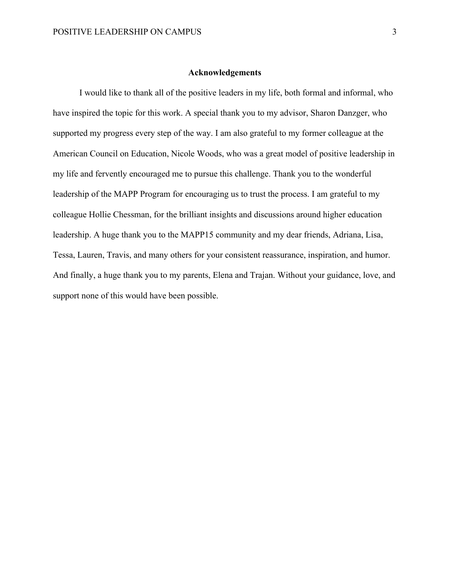## **Acknowledgements**

I would like to thank all of the positive leaders in my life, both formal and informal, who have inspired the topic for this work. A special thank you to my advisor, Sharon Danzger, who supported my progress every step of the way. I am also grateful to my former colleague at the American Council on Education, Nicole Woods, who was a great model of positive leadership in my life and fervently encouraged me to pursue this challenge. Thank you to the wonderful leadership of the MAPP Program for encouraging us to trust the process. I am grateful to my colleague Hollie Chessman, for the brilliant insights and discussions around higher education leadership. A huge thank you to the MAPP15 community and my dear friends, Adriana, Lisa, Tessa, Lauren, Travis, and many others for your consistent reassurance, inspiration, and humor. And finally, a huge thank you to my parents, Elena and Trajan. Without your guidance, love, and support none of this would have been possible.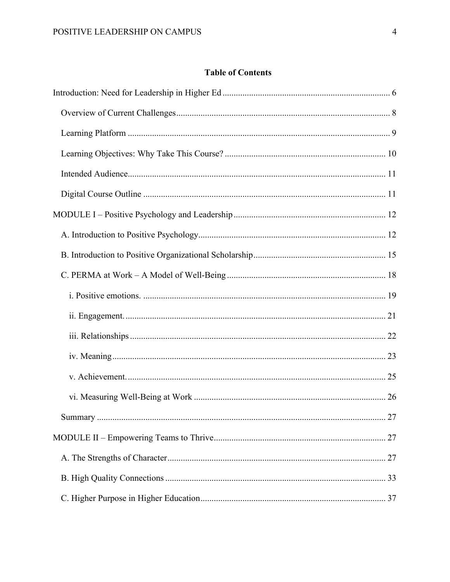## **Table of Contents**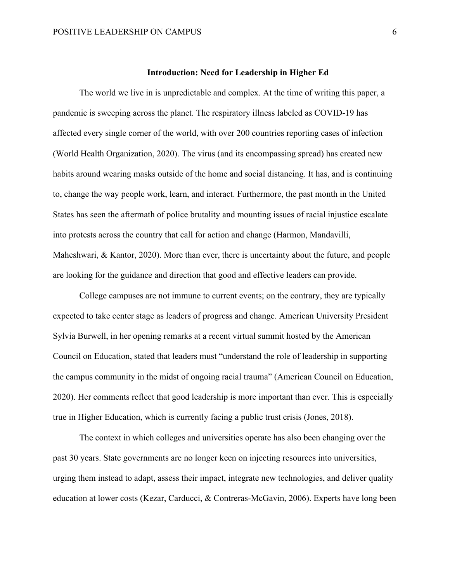## **Introduction: Need for Leadership in Higher Ed**

The world we live in is unpredictable and complex. At the time of writing this paper, a pandemic is sweeping across the planet. The respiratory illness labeled as COVID-19 has affected every single corner of the world, with over 200 countries reporting cases of infection (World Health Organization, 2020). The virus (and its encompassing spread) has created new habits around wearing masks outside of the home and social distancing. It has, and is continuing to, change the way people work, learn, and interact. Furthermore, the past month in the United States has seen the aftermath of police brutality and mounting issues of racial injustice escalate into protests across the country that call for action and change (Harmon, Mandavilli, Maheshwari, & Kantor, 2020). More than ever, there is uncertainty about the future, and people are looking for the guidance and direction that good and effective leaders can provide.

College campuses are not immune to current events; on the contrary, they are typically expected to take center stage as leaders of progress and change. American University President Sylvia Burwell, in her opening remarks at a recent virtual summit hosted by the American Council on Education, stated that leaders must "understand the role of leadership in supporting the campus community in the midst of ongoing racial trauma" (American Council on Education, 2020). Her comments reflect that good leadership is more important than ever. This is especially true in Higher Education, which is currently facing a public trust crisis (Jones, 2018).

The context in which colleges and universities operate has also been changing over the past 30 years. State governments are no longer keen on injecting resources into universities, urging them instead to adapt, assess their impact, integrate new technologies, and deliver quality education at lower costs (Kezar, Carducci, & Contreras-McGavin, 2006). Experts have long been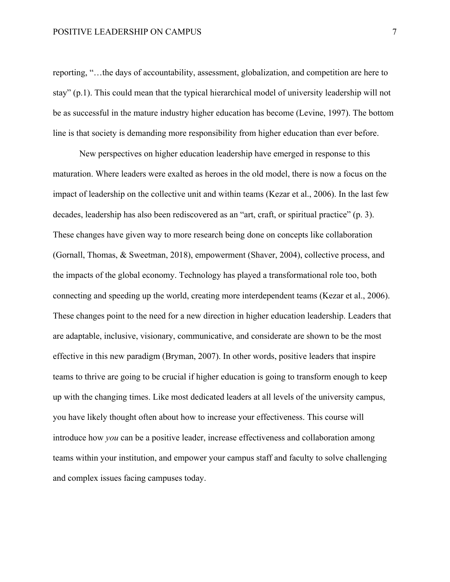reporting, "…the days of accountability, assessment, globalization, and competition are here to stay" (p.1). This could mean that the typical hierarchical model of university leadership will not be as successful in the mature industry higher education has become (Levine, 1997). The bottom line is that society is demanding more responsibility from higher education than ever before.

New perspectives on higher education leadership have emerged in response to this maturation. Where leaders were exalted as heroes in the old model, there is now a focus on the impact of leadership on the collective unit and within teams (Kezar et al., 2006). In the last few decades, leadership has also been rediscovered as an "art, craft, or spiritual practice" (p. 3). These changes have given way to more research being done on concepts like collaboration (Gornall, Thomas, & Sweetman, 2018), empowerment (Shaver, 2004), collective process, and the impacts of the global economy. Technology has played a transformational role too, both connecting and speeding up the world, creating more interdependent teams (Kezar et al., 2006). These changes point to the need for a new direction in higher education leadership. Leaders that are adaptable, inclusive, visionary, communicative, and considerate are shown to be the most effective in this new paradigm (Bryman, 2007). In other words, positive leaders that inspire teams to thrive are going to be crucial if higher education is going to transform enough to keep up with the changing times. Like most dedicated leaders at all levels of the university campus, you have likely thought often about how to increase your effectiveness. This course will introduce how *you* can be a positive leader, increase effectiveness and collaboration among teams within your institution, and empower your campus staff and faculty to solve challenging and complex issues facing campuses today.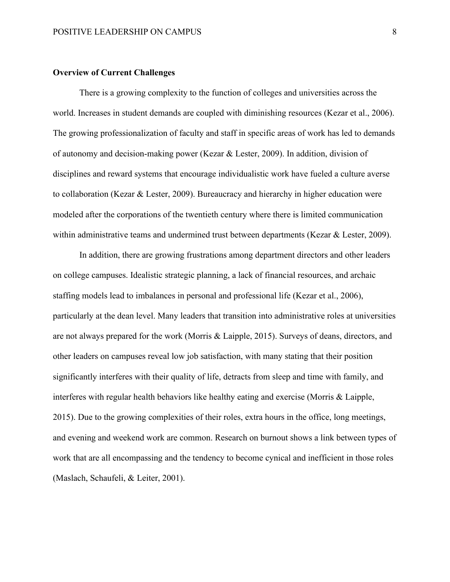## **Overview of Current Challenges**

There is a growing complexity to the function of colleges and universities across the world. Increases in student demands are coupled with diminishing resources (Kezar et al., 2006). The growing professionalization of faculty and staff in specific areas of work has led to demands of autonomy and decision-making power (Kezar & Lester, 2009). In addition, division of disciplines and reward systems that encourage individualistic work have fueled a culture averse to collaboration (Kezar & Lester, 2009). Bureaucracy and hierarchy in higher education were modeled after the corporations of the twentieth century where there is limited communication within administrative teams and undermined trust between departments (Kezar & Lester, 2009).

In addition, there are growing frustrations among department directors and other leaders on college campuses. Idealistic strategic planning, a lack of financial resources, and archaic staffing models lead to imbalances in personal and professional life (Kezar et al., 2006), particularly at the dean level. Many leaders that transition into administrative roles at universities are not always prepared for the work (Morris & Laipple, 2015). Surveys of deans, directors, and other leaders on campuses reveal low job satisfaction, with many stating that their position significantly interferes with their quality of life, detracts from sleep and time with family, and interferes with regular health behaviors like healthy eating and exercise (Morris & Laipple, 2015). Due to the growing complexities of their roles, extra hours in the office, long meetings, and evening and weekend work are common. Research on burnout shows a link between types of work that are all encompassing and the tendency to become cynical and inefficient in those roles (Maslach, Schaufeli, & Leiter, 2001).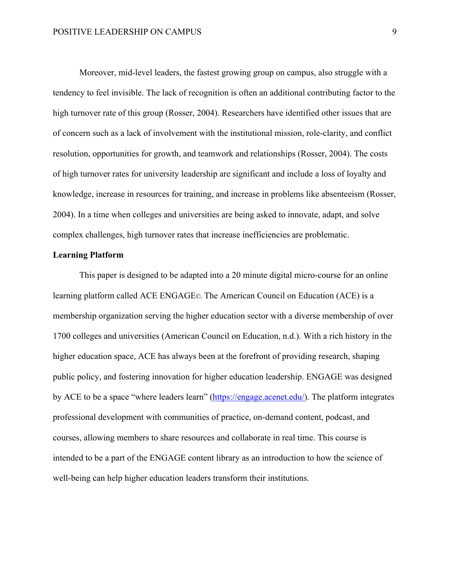Moreover, mid-level leaders, the fastest growing group on campus, also struggle with a tendency to feel invisible. The lack of recognition is often an additional contributing factor to the high turnover rate of this group (Rosser, 2004). Researchers have identified other issues that are of concern such as a lack of involvement with the institutional mission, role-clarity, and conflict resolution, opportunities for growth, and teamwork and relationships (Rosser, 2004). The costs of high turnover rates for university leadership are significant and include a loss of loyalty and knowledge, increase in resources for training, and increase in problems like absenteeism (Rosser, 2004). In a time when colleges and universities are being asked to innovate, adapt, and solve complex challenges, high turnover rates that increase inefficiencies are problematic.

## **Learning Platform**

This paper is designed to be adapted into a 20 minute digital micro-course for an online learning platform called ACE ENGAGE©. The American Council on Education (ACE) is a membership organization serving the higher education sector with a diverse membership of over 1700 colleges and universities (American Council on Education, n.d.). With a rich history in the higher education space, ACE has always been at the forefront of providing research, shaping public policy, and fostering innovation for higher education leadership. ENGAGE was designed by ACE to be a space "where leaders learn" (https://engage.acenet.edu/). The platform integrates professional development with communities of practice, on-demand content, podcast, and courses, allowing members to share resources and collaborate in real time. This course is intended to be a part of the ENGAGE content library as an introduction to how the science of well-being can help higher education leaders transform their institutions.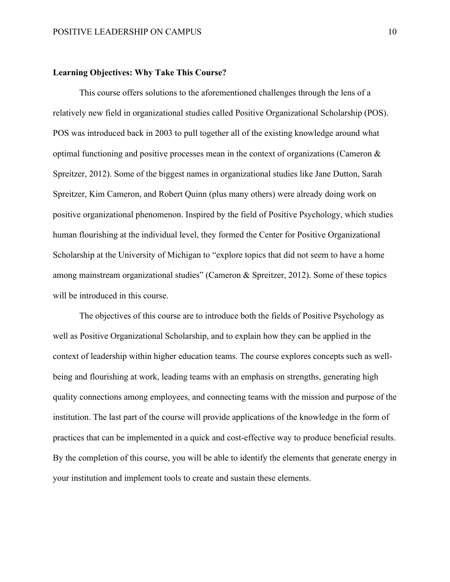## **Learning Objectives: Why Take This Course?**

This course offers solutions to the aforementioned challenges through the lens of a relatively new field in organizational studies called Positive Organizational Scholarship (POS). POS was introduced back in 2003 to pull together all of the existing knowledge around what optimal functioning and positive processes mean in the context of organizations (Cameron & Spreitzer, 2012). Some of the biggest names in organizational studies like Jane Dutton, Sarah Spreitzer, Kim Cameron, and Robert Quinn (plus many others) were already doing work on positive organizational phenomenon. Inspired by the field of Positive Psychology, which studies human flourishing at the individual level, they formed the Center for Positive Organizational Scholarship at the University of Michigan to "explore topics that did not seem to have a home among mainstream organizational studies" (Cameron & Spreitzer, 2012). Some of these topics will be introduced in this course.

The objectives of this course are to introduce both the fields of Positive Psychology as well as Positive Organizational Scholarship, and to explain how they can be applied in the context of leadership within higher education teams. The course explores concepts such as wellbeing and flourishing at work, leading teams with an emphasis on strengths, generating high quality connections among employees, and connecting teams with the mission and purpose of the institution. The last part of the course will provide applications of the knowledge in the form of practices that can be implemented in a quick and cost-effective way to produce beneficial results. By the completion of this course, you will be able to identify the elements that generate energy in your institution and implement tools to create and sustain these elements.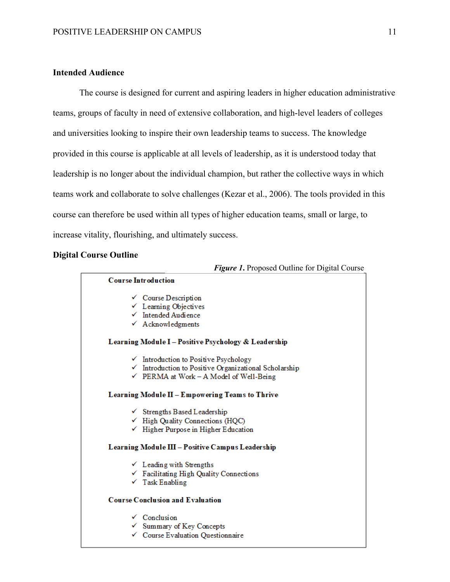## **Intended Audience**

The course is designed for current and aspiring leaders in higher education administrative teams, groups of faculty in need of extensive collaboration, and high-level leaders of colleges and universities looking to inspire their own leadership teams to success. The knowledge provided in this course is applicable at all levels of leadership, as it is understood today that leadership is no longer about the individual champion, but rather the collective ways in which teams work and collaborate to solve challenges (Kezar et al., 2006). The tools provided in this course can therefore be used within all types of higher education teams, small or large, to increase vitality, flourishing, and ultimately success.

## **Digital Course Outline**

#### *Figure 1***.** Proposed Outline for Digital Course

#### **Course Introduction**

- $\checkmark$  Course Description
- $\checkmark$  Learning Objectives
- $\checkmark$  Intended Audience
- $\checkmark$  Acknowledgments

#### Learning Module I - Positive Psychology & Leadership

- $\checkmark$  Introduction to Positive Psychology
- √ Introduction to Positive Organizational Scholarship
- $\checkmark$  PERMA at Work A Model of Well-Being

#### Learning Module II - Empowering Teams to Thrive

- $\checkmark$  Strengths Based Leadership
- $\checkmark$  High Quality Connections (HQC)
- $\checkmark$  Higher Purpose in Higher Education

#### Learning Module III - Positive Campus Leadership

- $\checkmark$  Leading with Strengths
- $\checkmark$  Facilitating High Quality Connections
- $\checkmark$  Task Enabling

#### **Course Conclusion and Evaluation**

- $\checkmark$  Conclusion
- $\checkmark$  Summary of Key Concepts
- ← Course Evaluation Questionnaire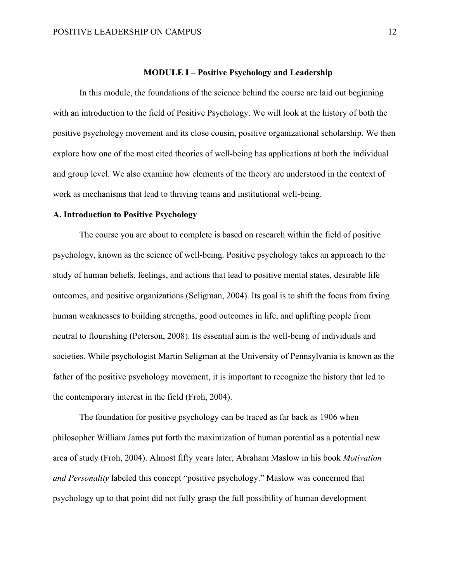## **MODULE I – Positive Psychology and Leadership**

In this module, the foundations of the science behind the course are laid out beginning with an introduction to the field of Positive Psychology. We will look at the history of both the positive psychology movement and its close cousin, positive organizational scholarship. We then explore how one of the most cited theories of well-being has applications at both the individual and group level. We also examine how elements of the theory are understood in the context of work as mechanisms that lead to thriving teams and institutional well-being.

## **A. Introduction to Positive Psychology**

The course you are about to complete is based on research within the field of positive psychology, known as the science of well-being. Positive psychology takes an approach to the study of human beliefs, feelings, and actions that lead to positive mental states, desirable life outcomes, and positive organizations (Seligman, 2004). Its goal is to shift the focus from fixing human weaknesses to building strengths, good outcomes in life, and uplifting people from neutral to flourishing (Peterson, 2008). Its essential aim is the well-being of individuals and societies. While psychologist Martin Seligman at the University of Pennsylvania is known as the father of the positive psychology movement, it is important to recognize the history that led to the contemporary interest in the field (Froh, 2004).

The foundation for positive psychology can be traced as far back as 1906 when philosopher William James put forth the maximization of human potential as a potential new area of study (Froh, 2004). Almost fifty years later, Abraham Maslow in his book *Motivation and Personality* labeled this concept "positive psychology." Maslow was concerned that psychology up to that point did not fully grasp the full possibility of human development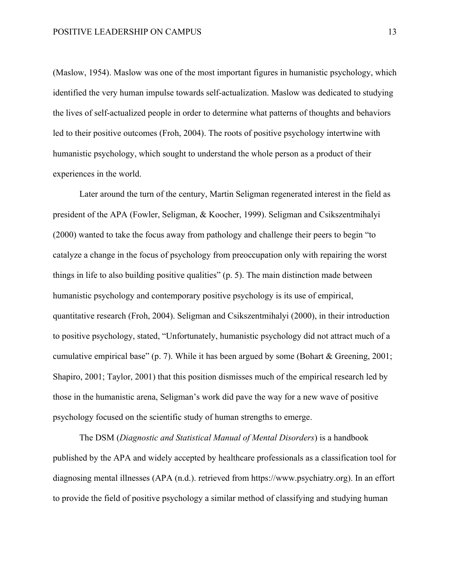(Maslow, 1954). Maslow was one of the most important figures in humanistic psychology, which identified the very human impulse towards self-actualization. Maslow was dedicated to studying the lives of self-actualized people in order to determine what patterns of thoughts and behaviors led to their positive outcomes (Froh, 2004). The roots of positive psychology intertwine with humanistic psychology, which sought to understand the whole person as a product of their experiences in the world.

Later around the turn of the century, Martin Seligman regenerated interest in the field as president of the APA (Fowler, Seligman, & Koocher, 1999). Seligman and Csikszentmihalyi (2000) wanted to take the focus away from pathology and challenge their peers to begin "to catalyze a change in the focus of psychology from preoccupation only with repairing the worst things in life to also building positive qualities" (p. 5). The main distinction made between humanistic psychology and contemporary positive psychology is its use of empirical, quantitative research (Froh, 2004). Seligman and Csikszentmihalyi (2000), in their introduction to positive psychology, stated, "Unfortunately, humanistic psychology did not attract much of a cumulative empirical base" (p. 7). While it has been argued by some (Bohart & Greening, 2001; Shapiro, 2001; Taylor, 2001) that this position dismisses much of the empirical research led by those in the humanistic arena, Seligman's work did pave the way for a new wave of positive psychology focused on the scientific study of human strengths to emerge.

The DSM (*Diagnostic and Statistical Manual of Mental Disorders*) is a handbook published by the APA and widely accepted by healthcare professionals as a classification tool for diagnosing mental illnesses (APA (n.d.). retrieved from https://www.psychiatry.org). In an effort to provide the field of positive psychology a similar method of classifying and studying human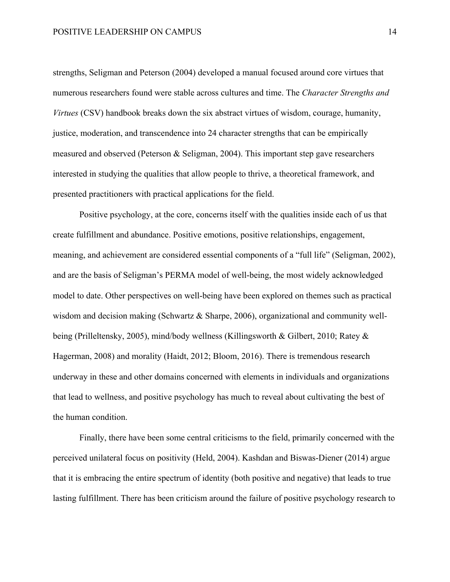strengths, Seligman and Peterson (2004) developed a manual focused around core virtues that numerous researchers found were stable across cultures and time. The *Character Strengths and Virtues* (CSV) handbook breaks down the six abstract virtues of wisdom, courage, humanity, justice, moderation, and transcendence into 24 character strengths that can be empirically measured and observed (Peterson & Seligman, 2004). This important step gave researchers interested in studying the qualities that allow people to thrive, a theoretical framework, and presented practitioners with practical applications for the field.

Positive psychology, at the core, concerns itself with the qualities inside each of us that create fulfillment and abundance. Positive emotions, positive relationships, engagement, meaning, and achievement are considered essential components of a "full life" (Seligman, 2002), and are the basis of Seligman's PERMA model of well-being, the most widely acknowledged model to date. Other perspectives on well-being have been explored on themes such as practical wisdom and decision making (Schwartz & Sharpe, 2006), organizational and community wellbeing (Prilleltensky, 2005), mind/body wellness (Killingsworth & Gilbert, 2010; Ratey & Hagerman, 2008) and morality (Haidt, 2012; Bloom, 2016). There is tremendous research underway in these and other domains concerned with elements in individuals and organizations that lead to wellness, and positive psychology has much to reveal about cultivating the best of the human condition.

Finally, there have been some central criticisms to the field, primarily concerned with the perceived unilateral focus on positivity (Held, 2004). Kashdan and Biswas-Diener (2014) argue that it is embracing the entire spectrum of identity (both positive and negative) that leads to true lasting fulfillment. There has been criticism around the failure of positive psychology research to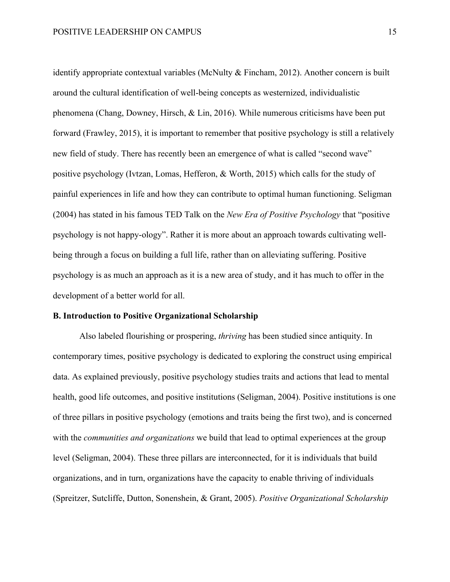identify appropriate contextual variables (McNulty & Fincham, 2012). Another concern is built around the cultural identification of well-being concepts as westernized, individualistic phenomena (Chang, Downey, Hirsch, & Lin, 2016). While numerous criticisms have been put forward (Frawley, 2015), it is important to remember that positive psychology is still a relatively new field of study. There has recently been an emergence of what is called "second wave" positive psychology (Ivtzan, Lomas, Hefferon, & Worth, 2015) which calls for the study of painful experiences in life and how they can contribute to optimal human functioning. Seligman (2004) has stated in his famous TED Talk on the *New Era of Positive Psychology* that "positive psychology is not happy-ology". Rather it is more about an approach towards cultivating wellbeing through a focus on building a full life, rather than on alleviating suffering. Positive psychology is as much an approach as it is a new area of study, and it has much to offer in the development of a better world for all.

## **B. Introduction to Positive Organizational Scholarship**

Also labeled flourishing or prospering, *thriving* has been studied since antiquity. In contemporary times, positive psychology is dedicated to exploring the construct using empirical data. As explained previously, positive psychology studies traits and actions that lead to mental health, good life outcomes, and positive institutions (Seligman, 2004). Positive institutions is one of three pillars in positive psychology (emotions and traits being the first two), and is concerned with the *communities and organizations* we build that lead to optimal experiences at the group level (Seligman, 2004). These three pillars are interconnected, for it is individuals that build organizations, and in turn, organizations have the capacity to enable thriving of individuals (Spreitzer, Sutcliffe, Dutton, Sonenshein, & Grant, 2005). *Positive Organizational Scholarship*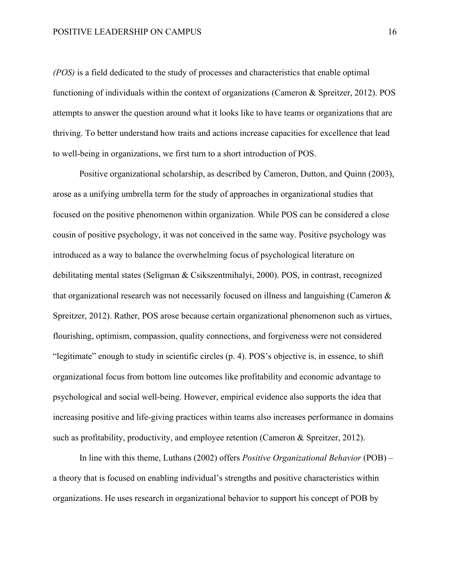*(POS)* is a field dedicated to the study of processes and characteristics that enable optimal functioning of individuals within the context of organizations (Cameron & Spreitzer, 2012). POS attempts to answer the question around what it looks like to have teams or organizations that are thriving. To better understand how traits and actions increase capacities for excellence that lead to well-being in organizations, we first turn to a short introduction of POS.

Positive organizational scholarship, as described by Cameron, Dutton, and Quinn (2003), arose as a unifying umbrella term for the study of approaches in organizational studies that focused on the positive phenomenon within organization. While POS can be considered a close cousin of positive psychology, it was not conceived in the same way. Positive psychology was introduced as a way to balance the overwhelming focus of psychological literature on debilitating mental states (Seligman & Csikszentmihalyi, 2000). POS, in contrast, recognized that organizational research was not necessarily focused on illness and languishing (Cameron & Spreitzer, 2012). Rather, POS arose because certain organizational phenomenon such as virtues, flourishing, optimism, compassion, quality connections, and forgiveness were not considered "legitimate" enough to study in scientific circles (p. 4). POS's objective is, in essence, to shift organizational focus from bottom line outcomes like profitability and economic advantage to psychological and social well-being. However, empirical evidence also supports the idea that increasing positive and life-giving practices within teams also increases performance in domains such as profitability, productivity, and employee retention (Cameron & Spreitzer, 2012).

In line with this theme, Luthans (2002) offers *Positive Organizational Behavior* (POB) – a theory that is focused on enabling individual's strengths and positive characteristics within organizations. He uses research in organizational behavior to support his concept of POB by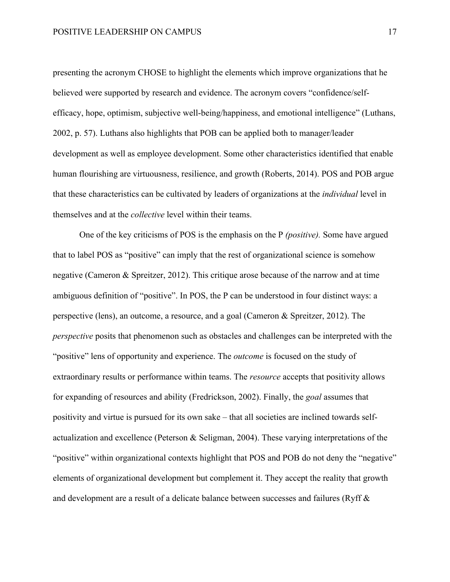presenting the acronym CHOSE to highlight the elements which improve organizations that he believed were supported by research and evidence. The acronym covers "confidence/selfefficacy, hope, optimism, subjective well-being/happiness, and emotional intelligence" (Luthans, 2002, p. 57). Luthans also highlights that POB can be applied both to manager/leader development as well as employee development. Some other characteristics identified that enable human flourishing are virtuousness, resilience, and growth (Roberts, 2014). POS and POB argue that these characteristics can be cultivated by leaders of organizations at the *individual* level in themselves and at the *collective* level within their teams.

One of the key criticisms of POS is the emphasis on the P *(positive).* Some have argued that to label POS as "positive" can imply that the rest of organizational science is somehow negative (Cameron & Spreitzer, 2012). This critique arose because of the narrow and at time ambiguous definition of "positive". In POS, the P can be understood in four distinct ways: a perspective (lens), an outcome, a resource, and a goal (Cameron & Spreitzer, 2012). The *perspective* posits that phenomenon such as obstacles and challenges can be interpreted with the "positive" lens of opportunity and experience. The *outcome* is focused on the study of extraordinary results or performance within teams. The *resource* accepts that positivity allows for expanding of resources and ability (Fredrickson, 2002). Finally, the *goal* assumes that positivity and virtue is pursued for its own sake – that all societies are inclined towards selfactualization and excellence (Peterson & Seligman, 2004). These varying interpretations of the "positive" within organizational contexts highlight that POS and POB do not deny the "negative" elements of organizational development but complement it. They accept the reality that growth and development are a result of a delicate balance between successes and failures (Ryff &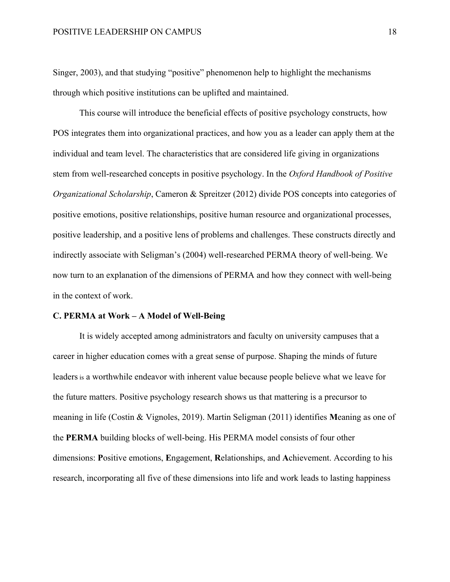Singer, 2003), and that studying "positive" phenomenon help to highlight the mechanisms through which positive institutions can be uplifted and maintained.

This course will introduce the beneficial effects of positive psychology constructs, how POS integrates them into organizational practices, and how you as a leader can apply them at the individual and team level. The characteristics that are considered life giving in organizations stem from well-researched concepts in positive psychology. In the *Oxford Handbook of Positive Organizational Scholarship*, Cameron & Spreitzer (2012) divide POS concepts into categories of positive emotions, positive relationships, positive human resource and organizational processes, positive leadership, and a positive lens of problems and challenges. These constructs directly and indirectly associate with Seligman's (2004) well-researched PERMA theory of well-being. We now turn to an explanation of the dimensions of PERMA and how they connect with well-being in the context of work.

#### **C. PERMA at Work – A Model of Well-Being**

It is widely accepted among administrators and faculty on university campuses that a career in higher education comes with a great sense of purpose. Shaping the minds of future leaders is a worthwhile endeavor with inherent value because people believe what we leave for the future matters. Positive psychology research shows us that mattering is a precursor to meaning in life (Costin & Vignoles, 2019). Martin Seligman (2011) identifies **M**eaning as one of the **PERMA** building blocks of well-being. His PERMA model consists of four other dimensions: **P**ositive emotions, **E**ngagement, **R**elationships, and **A**chievement. According to his research, incorporating all five of these dimensions into life and work leads to lasting happiness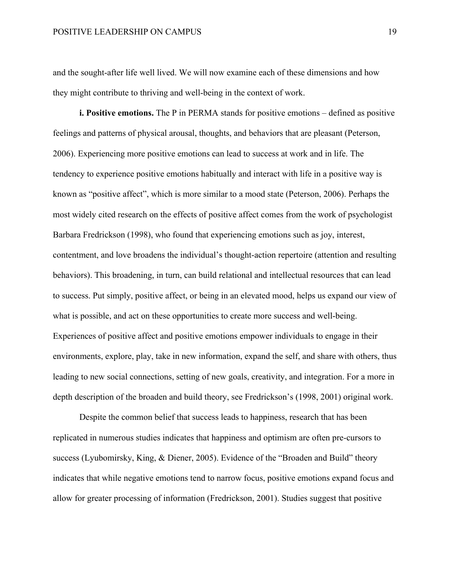and the sought-after life well lived. We will now examine each of these dimensions and how they might contribute to thriving and well-being in the context of work.

**i. Positive emotions.** The P in PERMA stands for positive emotions – defined as positive feelings and patterns of physical arousal, thoughts, and behaviors that are pleasant (Peterson, 2006). Experiencing more positive emotions can lead to success at work and in life. The tendency to experience positive emotions habitually and interact with life in a positive way is known as "positive affect", which is more similar to a mood state (Peterson, 2006). Perhaps the most widely cited research on the effects of positive affect comes from the work of psychologist Barbara Fredrickson (1998), who found that experiencing emotions such as joy, interest, contentment, and love broadens the individual's thought-action repertoire (attention and resulting behaviors). This broadening, in turn, can build relational and intellectual resources that can lead to success. Put simply, positive affect, or being in an elevated mood, helps us expand our view of what is possible, and act on these opportunities to create more success and well-being. Experiences of positive affect and positive emotions empower individuals to engage in their environments, explore, play, take in new information, expand the self, and share with others, thus leading to new social connections, setting of new goals, creativity, and integration. For a more in depth description of the broaden and build theory, see Fredrickson's (1998, 2001) original work.

Despite the common belief that success leads to happiness, research that has been replicated in numerous studies indicates that happiness and optimism are often pre-cursors to success (Lyubomirsky, King, & Diener, 2005). Evidence of the "Broaden and Build" theory indicates that while negative emotions tend to narrow focus, positive emotions expand focus and allow for greater processing of information (Fredrickson, 2001). Studies suggest that positive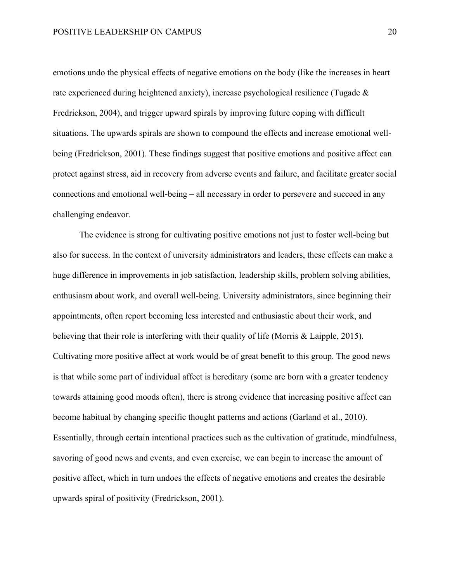emotions undo the physical effects of negative emotions on the body (like the increases in heart rate experienced during heightened anxiety), increase psychological resilience (Tugade & Fredrickson, 2004), and trigger upward spirals by improving future coping with difficult situations. The upwards spirals are shown to compound the effects and increase emotional wellbeing (Fredrickson, 2001). These findings suggest that positive emotions and positive affect can protect against stress, aid in recovery from adverse events and failure, and facilitate greater social connections and emotional well-being – all necessary in order to persevere and succeed in any challenging endeavor.

The evidence is strong for cultivating positive emotions not just to foster well-being but also for success. In the context of university administrators and leaders, these effects can make a huge difference in improvements in job satisfaction, leadership skills, problem solving abilities, enthusiasm about work, and overall well-being. University administrators, since beginning their appointments, often report becoming less interested and enthusiastic about their work, and believing that their role is interfering with their quality of life (Morris & Laipple, 2015). Cultivating more positive affect at work would be of great benefit to this group. The good news is that while some part of individual affect is hereditary (some are born with a greater tendency towards attaining good moods often), there is strong evidence that increasing positive affect can become habitual by changing specific thought patterns and actions (Garland et al., 2010). Essentially, through certain intentional practices such as the cultivation of gratitude, mindfulness, savoring of good news and events, and even exercise, we can begin to increase the amount of positive affect, which in turn undoes the effects of negative emotions and creates the desirable upwards spiral of positivity (Fredrickson, 2001).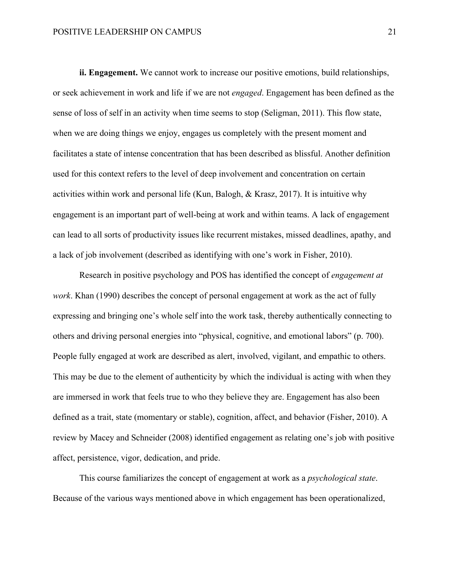**ii. Engagement.** We cannot work to increase our positive emotions, build relationships, or seek achievement in work and life if we are not *engaged*. Engagement has been defined as the sense of loss of self in an activity when time seems to stop (Seligman, 2011). This flow state, when we are doing things we enjoy, engages us completely with the present moment and facilitates a state of intense concentration that has been described as blissful. Another definition used for this context refers to the level of deep involvement and concentration on certain activities within work and personal life (Kun, Balogh, & Krasz, 2017). It is intuitive why engagement is an important part of well-being at work and within teams. A lack of engagement can lead to all sorts of productivity issues like recurrent mistakes, missed deadlines, apathy, and a lack of job involvement (described as identifying with one's work in Fisher, 2010).

Research in positive psychology and POS has identified the concept of *engagement at work*. Khan (1990) describes the concept of personal engagement at work as the act of fully expressing and bringing one's whole self into the work task, thereby authentically connecting to others and driving personal energies into "physical, cognitive, and emotional labors" (p. 700). People fully engaged at work are described as alert, involved, vigilant, and empathic to others. This may be due to the element of authenticity by which the individual is acting with when they are immersed in work that feels true to who they believe they are. Engagement has also been defined as a trait, state (momentary or stable), cognition, affect, and behavior (Fisher, 2010). A review by Macey and Schneider (2008) identified engagement as relating one's job with positive affect, persistence, vigor, dedication, and pride.

This course familiarizes the concept of engagement at work as a *psychological state*. Because of the various ways mentioned above in which engagement has been operationalized,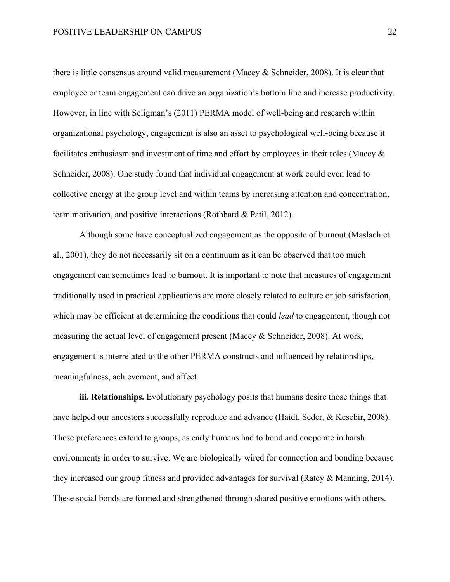there is little consensus around valid measurement (Macey & Schneider, 2008). It is clear that employee or team engagement can drive an organization's bottom line and increase productivity. However, in line with Seligman's (2011) PERMA model of well-being and research within organizational psychology, engagement is also an asset to psychological well-being because it facilitates enthusiasm and investment of time and effort by employees in their roles (Macey & Schneider, 2008). One study found that individual engagement at work could even lead to collective energy at the group level and within teams by increasing attention and concentration, team motivation, and positive interactions (Rothbard & Patil, 2012).

Although some have conceptualized engagement as the opposite of burnout (Maslach et al., 2001), they do not necessarily sit on a continuum as it can be observed that too much engagement can sometimes lead to burnout. It is important to note that measures of engagement traditionally used in practical applications are more closely related to culture or job satisfaction, which may be efficient at determining the conditions that could *lead* to engagement, though not measuring the actual level of engagement present (Macey & Schneider, 2008). At work, engagement is interrelated to the other PERMA constructs and influenced by relationships, meaningfulness, achievement, and affect.

**iii. Relationships.** Evolutionary psychology posits that humans desire those things that have helped our ancestors successfully reproduce and advance (Haidt, Seder, & Kesebir, 2008). These preferences extend to groups, as early humans had to bond and cooperate in harsh environments in order to survive. We are biologically wired for connection and bonding because they increased our group fitness and provided advantages for survival (Ratey & Manning, 2014). These social bonds are formed and strengthened through shared positive emotions with others.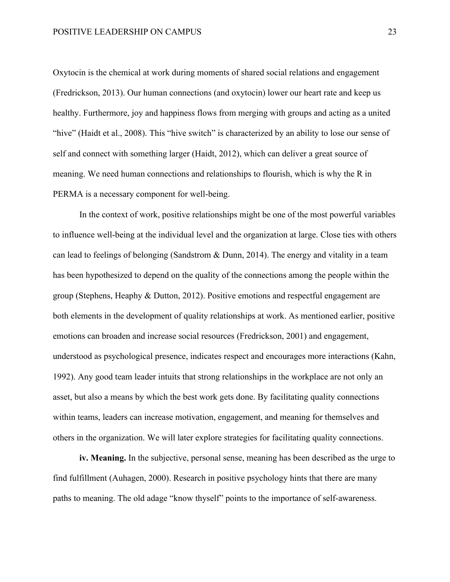Oxytocin is the chemical at work during moments of shared social relations and engagement (Fredrickson, 2013). Our human connections (and oxytocin) lower our heart rate and keep us healthy. Furthermore, joy and happiness flows from merging with groups and acting as a united "hive" (Haidt et al., 2008). This "hive switch" is characterized by an ability to lose our sense of self and connect with something larger (Haidt, 2012), which can deliver a great source of meaning. We need human connections and relationships to flourish, which is why the R in PERMA is a necessary component for well-being.

In the context of work, positive relationships might be one of the most powerful variables to influence well-being at the individual level and the organization at large. Close ties with others can lead to feelings of belonging (Sandstrom & Dunn, 2014). The energy and vitality in a team has been hypothesized to depend on the quality of the connections among the people within the group (Stephens, Heaphy & Dutton, 2012). Positive emotions and respectful engagement are both elements in the development of quality relationships at work. As mentioned earlier, positive emotions can broaden and increase social resources (Fredrickson, 2001) and engagement, understood as psychological presence, indicates respect and encourages more interactions (Kahn, 1992). Any good team leader intuits that strong relationships in the workplace are not only an asset, but also a means by which the best work gets done. By facilitating quality connections within teams, leaders can increase motivation, engagement, and meaning for themselves and others in the organization. We will later explore strategies for facilitating quality connections.

**iv. Meaning.** In the subjective, personal sense, meaning has been described as the urge to find fulfillment (Auhagen, 2000). Research in positive psychology hints that there are many paths to meaning. The old adage "know thyself" points to the importance of self-awareness.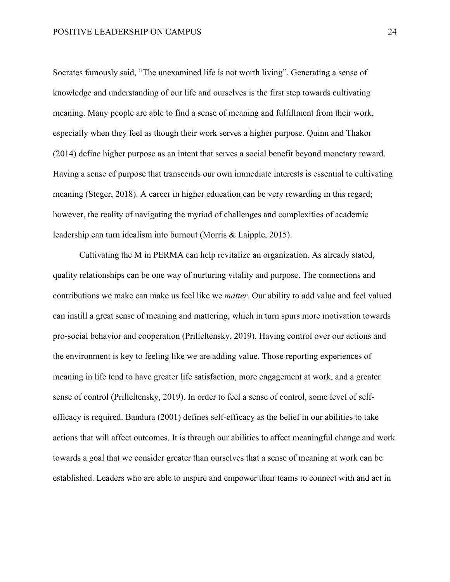Socrates famously said, "The unexamined life is not worth living". Generating a sense of knowledge and understanding of our life and ourselves is the first step towards cultivating meaning. Many people are able to find a sense of meaning and fulfillment from their work, especially when they feel as though their work serves a higher purpose. Quinn and Thakor (2014) define higher purpose as an intent that serves a social benefit beyond monetary reward. Having a sense of purpose that transcends our own immediate interests is essential to cultivating meaning (Steger, 2018). A career in higher education can be very rewarding in this regard; however, the reality of navigating the myriad of challenges and complexities of academic leadership can turn idealism into burnout (Morris & Laipple, 2015).

Cultivating the M in PERMA can help revitalize an organization. As already stated, quality relationships can be one way of nurturing vitality and purpose. The connections and contributions we make can make us feel like we *matter*. Our ability to add value and feel valued can instill a great sense of meaning and mattering, which in turn spurs more motivation towards pro-social behavior and cooperation (Prilleltensky, 2019). Having control over our actions and the environment is key to feeling like we are adding value. Those reporting experiences of meaning in life tend to have greater life satisfaction, more engagement at work, and a greater sense of control (Prilleltensky, 2019). In order to feel a sense of control, some level of selfefficacy is required. Bandura (2001) defines self-efficacy as the belief in our abilities to take actions that will affect outcomes. It is through our abilities to affect meaningful change and work towards a goal that we consider greater than ourselves that a sense of meaning at work can be established. Leaders who are able to inspire and empower their teams to connect with and act in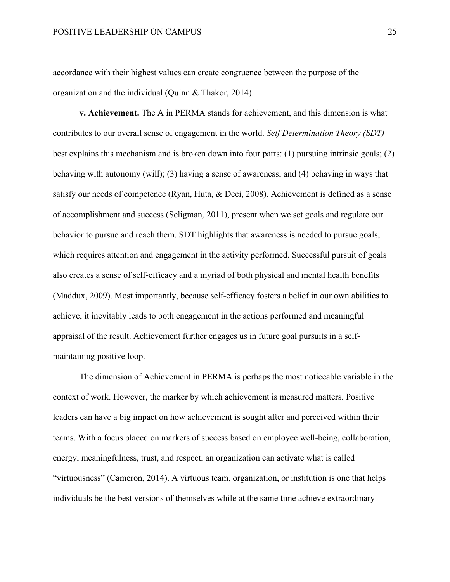accordance with their highest values can create congruence between the purpose of the organization and the individual (Quinn & Thakor, 2014).

**v. Achievement.** The A in PERMA stands for achievement, and this dimension is what contributes to our overall sense of engagement in the world. *Self Determination Theory (SDT)*  best explains this mechanism and is broken down into four parts: (1) pursuing intrinsic goals; (2) behaving with autonomy (will); (3) having a sense of awareness; and (4) behaving in ways that satisfy our needs of competence (Ryan, Huta, & Deci, 2008). Achievement is defined as a sense of accomplishment and success (Seligman, 2011), present when we set goals and regulate our behavior to pursue and reach them. SDT highlights that awareness is needed to pursue goals, which requires attention and engagement in the activity performed. Successful pursuit of goals also creates a sense of self-efficacy and a myriad of both physical and mental health benefits (Maddux, 2009). Most importantly, because self-efficacy fosters a belief in our own abilities to achieve, it inevitably leads to both engagement in the actions performed and meaningful appraisal of the result. Achievement further engages us in future goal pursuits in a selfmaintaining positive loop.

The dimension of Achievement in PERMA is perhaps the most noticeable variable in the context of work. However, the marker by which achievement is measured matters. Positive leaders can have a big impact on how achievement is sought after and perceived within their teams. With a focus placed on markers of success based on employee well-being, collaboration, energy, meaningfulness, trust, and respect, an organization can activate what is called "virtuousness" (Cameron, 2014). A virtuous team, organization, or institution is one that helps individuals be the best versions of themselves while at the same time achieve extraordinary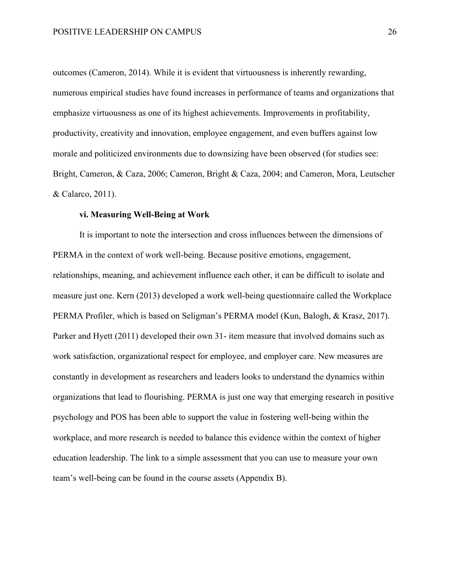outcomes (Cameron, 2014). While it is evident that virtuousness is inherently rewarding, numerous empirical studies have found increases in performance of teams and organizations that emphasize virtuousness as one of its highest achievements. Improvements in profitability, productivity, creativity and innovation, employee engagement, and even buffers against low morale and politicized environments due to downsizing have been observed (for studies see: Bright, Cameron, & Caza, 2006; Cameron, Bright & Caza, 2004; and Cameron, Mora, Leutscher & Calarco, 2011).

## **vi. Measuring Well-Being at Work**

It is important to note the intersection and cross influences between the dimensions of PERMA in the context of work well-being. Because positive emotions, engagement, relationships, meaning, and achievement influence each other, it can be difficult to isolate and measure just one. Kern (2013) developed a work well-being questionnaire called the Workplace PERMA Profiler, which is based on Seligman's PERMA model (Kun, Balogh, & Krasz, 2017). Parker and Hyett (2011) developed their own 31- item measure that involved domains such as work satisfaction, organizational respect for employee, and employer care. New measures are constantly in development as researchers and leaders looks to understand the dynamics within organizations that lead to flourishing. PERMA is just one way that emerging research in positive psychology and POS has been able to support the value in fostering well-being within the workplace, and more research is needed to balance this evidence within the context of higher education leadership. The link to a simple assessment that you can use to measure your own team's well-being can be found in the course assets (Appendix B).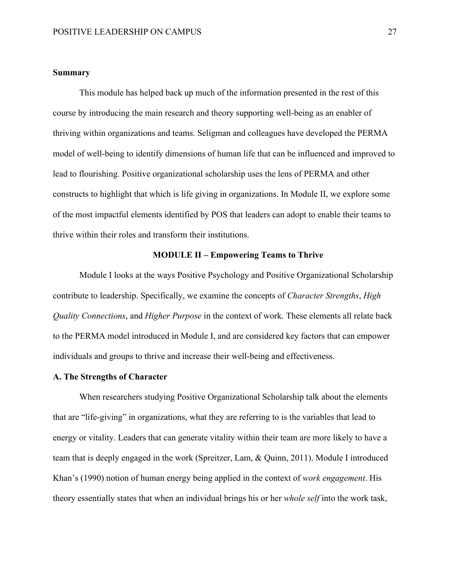## **Summary**

This module has helped back up much of the information presented in the rest of this course by introducing the main research and theory supporting well-being as an enabler of thriving within organizations and teams. Seligman and colleagues have developed the PERMA model of well-being to identify dimensions of human life that can be influenced and improved to lead to flourishing. Positive organizational scholarship uses the lens of PERMA and other constructs to highlight that which is life giving in organizations. In Module II, we explore some of the most impactful elements identified by POS that leaders can adopt to enable their teams to thrive within their roles and transform their institutions.

## **MODULE II – Empowering Teams to Thrive**

Module I looks at the ways Positive Psychology and Positive Organizational Scholarship contribute to leadership. Specifically, we examine the concepts of *Character Strengths*, *High Quality Connections*, and *Higher Purpose* in the context of work. These elements all relate back to the PERMA model introduced in Module I, and are considered key factors that can empower individuals and groups to thrive and increase their well-being and effectiveness.

## **A. The Strengths of Character**

When researchers studying Positive Organizational Scholarship talk about the elements that are "life-giving" in organizations, what they are referring to is the variables that lead to energy or vitality. Leaders that can generate vitality within their team are more likely to have a team that is deeply engaged in the work (Spreitzer, Lam, & Quinn, 2011). Module I introduced Khan's (1990) notion of human energy being applied in the context of *work engagement*. His theory essentially states that when an individual brings his or her *whole self* into the work task,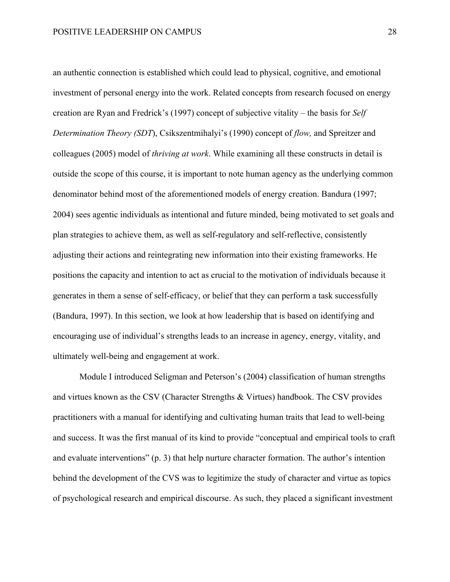an authentic connection is established which could lead to physical, cognitive, and emotional investment of personal energy into the work. Related concepts from research focused on energy creation are Ryan and Fredrick's (1997) concept of subjective vitality – the basis for *Self Determination Theory (SDT*), Csikszentmihalyi's (1990) concept of *flow,* and Spreitzer and colleagues (2005) model of *thriving at work*. While examining all these constructs in detail is outside the scope of this course, it is important to note human agency as the underlying common denominator behind most of the aforementioned models of energy creation. Bandura (1997; 2004) sees agentic individuals as intentional and future minded, being motivated to set goals and plan strategies to achieve them, as well as self-regulatory and self-reflective, consistently adjusting their actions and reintegrating new information into their existing frameworks. He positions the capacity and intention to act as crucial to the motivation of individuals because it generates in them a sense of self-efficacy, or belief that they can perform a task successfully (Bandura, 1997). In this section, we look at how leadership that is based on identifying and encouraging use of individual's strengths leads to an increase in agency, energy, vitality, and ultimately well-being and engagement at work.

Module I introduced Seligman and Peterson's (2004) classification of human strengths and virtues known as the CSV (Character Strengths & Virtues) handbook. The CSV provides practitioners with a manual for identifying and cultivating human traits that lead to well-being and success. It was the first manual of its kind to provide "conceptual and empirical tools to craft and evaluate interventions" (p. 3) that help nurture character formation. The author's intention behind the development of the CVS was to legitimize the study of character and virtue as topics of psychological research and empirical discourse. As such, they placed a significant investment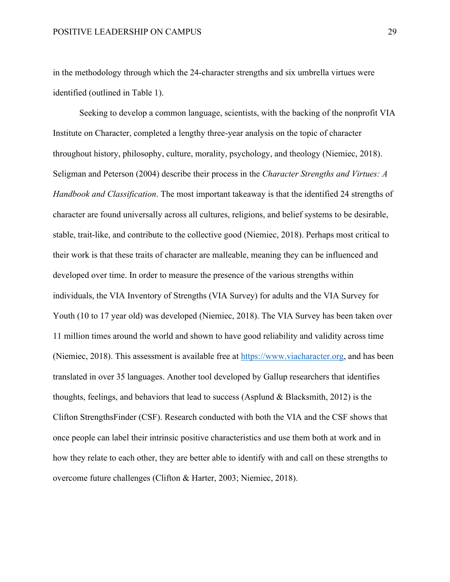in the methodology through which the 24-character strengths and six umbrella virtues were identified (outlined in Table 1).

Seeking to develop a common language, scientists, with the backing of the nonprofit VIA Institute on Character, completed a lengthy three-year analysis on the topic of character throughout history, philosophy, culture, morality, psychology, and theology (Niemiec, 2018). Seligman and Peterson (2004) describe their process in the *Character Strengths and Virtues: A Handbook and Classification*. The most important takeaway is that the identified 24 strengths of character are found universally across all cultures, religions, and belief systems to be desirable, stable, trait-like, and contribute to the collective good (Niemiec, 2018). Perhaps most critical to their work is that these traits of character are malleable, meaning they can be influenced and developed over time. In order to measure the presence of the various strengths within individuals, the VIA Inventory of Strengths (VIA Survey) for adults and the VIA Survey for Youth (10 to 17 year old) was developed (Niemiec, 2018). The VIA Survey has been taken over 11 million times around the world and shown to have good reliability and validity across time (Niemiec, 2018). This assessment is available free at https://www.viacharacter.org, and has been translated in over 35 languages. Another tool developed by Gallup researchers that identifies thoughts, feelings, and behaviors that lead to success (Asplund & Blacksmith, 2012) is the Clifton StrengthsFinder (CSF). Research conducted with both the VIA and the CSF shows that once people can label their intrinsic positive characteristics and use them both at work and in how they relate to each other, they are better able to identify with and call on these strengths to overcome future challenges (Clifton & Harter, 2003; Niemiec, 2018).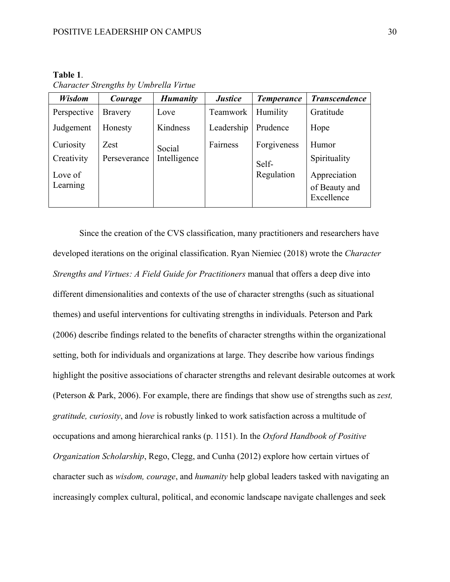| nı.<br>Ш |  |
|----------|--|
|          |  |

*Character Strengths by Umbrella Virtue*

| Wisdom      | Courage        | <b>Humanity</b> | <b>Justice</b> | <b>Temperance</b> | <b>Transcendence</b> |
|-------------|----------------|-----------------|----------------|-------------------|----------------------|
| Perspective | <b>Bravery</b> | Love            | Teamwork       | Humility          | Gratitude            |
| Judgement   | Honesty        | Kindness        | Leadership     | Prudence          | Hope                 |
| Curiosity   | Zest           | Social          | Fairness       | Forgiveness       | Humor                |
| Creativity  | Perseverance   | Intelligence    |                | Self-             | Spirituality         |
| Love of     |                |                 |                | Regulation        | Appreciation         |
| Learning    |                |                 |                |                   | of Beauty and        |
|             |                |                 |                |                   | Excellence           |

Since the creation of the CVS classification, many practitioners and researchers have developed iterations on the original classification. Ryan Niemiec (2018) wrote the *Character Strengths and Virtues: A Field Guide for Practitioners* manual that offers a deep dive into different dimensionalities and contexts of the use of character strengths (such as situational themes) and useful interventions for cultivating strengths in individuals. Peterson and Park (2006) describe findings related to the benefits of character strengths within the organizational setting, both for individuals and organizations at large. They describe how various findings highlight the positive associations of character strengths and relevant desirable outcomes at work (Peterson & Park, 2006). For example, there are findings that show use of strengths such as *zest, gratitude, curiosity*, and *love* is robustly linked to work satisfaction across a multitude of occupations and among hierarchical ranks (p. 1151). In the *Oxford Handbook of Positive Organization Scholarship*, Rego, Clegg, and Cunha (2012) explore how certain virtues of character such as *wisdom, courage*, and *humanity* help global leaders tasked with navigating an increasingly complex cultural, political, and economic landscape navigate challenges and seek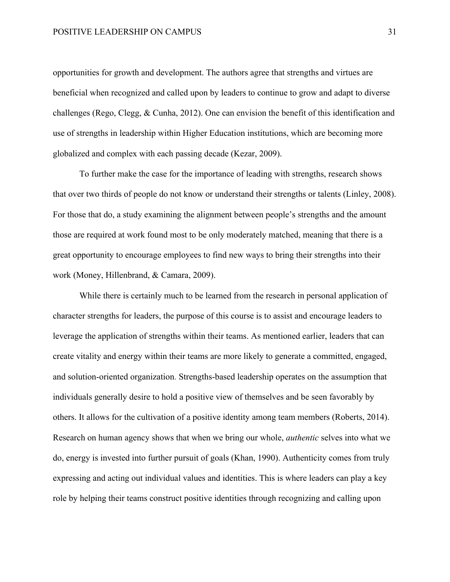opportunities for growth and development. The authors agree that strengths and virtues are beneficial when recognized and called upon by leaders to continue to grow and adapt to diverse challenges (Rego, Clegg, & Cunha, 2012). One can envision the benefit of this identification and use of strengths in leadership within Higher Education institutions, which are becoming more globalized and complex with each passing decade (Kezar, 2009).

To further make the case for the importance of leading with strengths, research shows that over two thirds of people do not know or understand their strengths or talents (Linley, 2008). For those that do, a study examining the alignment between people's strengths and the amount those are required at work found most to be only moderately matched, meaning that there is a great opportunity to encourage employees to find new ways to bring their strengths into their work (Money, Hillenbrand, & Camara, 2009).

While there is certainly much to be learned from the research in personal application of character strengths for leaders, the purpose of this course is to assist and encourage leaders to leverage the application of strengths within their teams. As mentioned earlier, leaders that can create vitality and energy within their teams are more likely to generate a committed, engaged, and solution-oriented organization. Strengths-based leadership operates on the assumption that individuals generally desire to hold a positive view of themselves and be seen favorably by others. It allows for the cultivation of a positive identity among team members (Roberts, 2014). Research on human agency shows that when we bring our whole, *authentic* selves into what we do, energy is invested into further pursuit of goals (Khan, 1990). Authenticity comes from truly expressing and acting out individual values and identities. This is where leaders can play a key role by helping their teams construct positive identities through recognizing and calling upon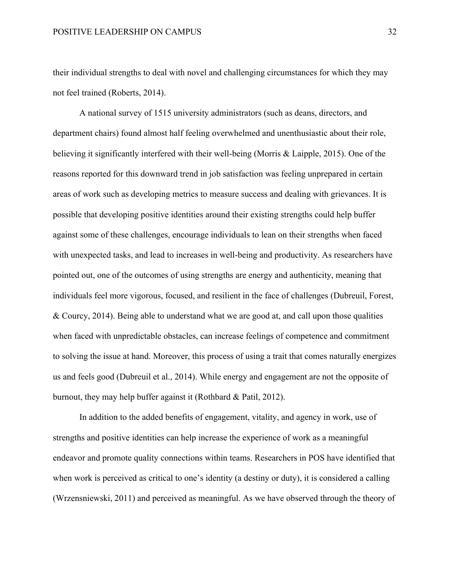their individual strengths to deal with novel and challenging circumstances for which they may not feel trained (Roberts, 2014).

A national survey of 1515 university administrators (such as deans, directors, and department chairs) found almost half feeling overwhelmed and unenthusiastic about their role, believing it significantly interfered with their well-being (Morris & Laipple, 2015). One of the reasons reported for this downward trend in job satisfaction was feeling unprepared in certain areas of work such as developing metrics to measure success and dealing with grievances. It is possible that developing positive identities around their existing strengths could help buffer against some of these challenges, encourage individuals to lean on their strengths when faced with unexpected tasks, and lead to increases in well-being and productivity. As researchers have pointed out, one of the outcomes of using strengths are energy and authenticity, meaning that individuals feel more vigorous, focused, and resilient in the face of challenges (Dubreuil, Forest, & Courcy, 2014). Being able to understand what we are good at, and call upon those qualities when faced with unpredictable obstacles, can increase feelings of competence and commitment to solving the issue at hand. Moreover, this process of using a trait that comes naturally energizes us and feels good (Dubreuil et al., 2014). While energy and engagement are not the opposite of burnout, they may help buffer against it (Rothbard & Patil, 2012).

In addition to the added benefits of engagement, vitality, and agency in work, use of strengths and positive identities can help increase the experience of work as a meaningful endeavor and promote quality connections within teams. Researchers in POS have identified that when work is perceived as critical to one's identity (a destiny or duty), it is considered a calling (Wrzensniewski, 2011) and perceived as meaningful. As we have observed through the theory of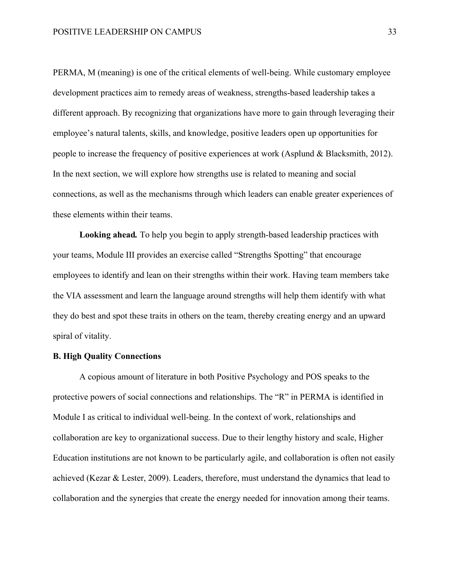PERMA, M (meaning) is one of the critical elements of well-being. While customary employee development practices aim to remedy areas of weakness, strengths-based leadership takes a different approach. By recognizing that organizations have more to gain through leveraging their employee's natural talents, skills, and knowledge, positive leaders open up opportunities for people to increase the frequency of positive experiences at work (Asplund & Blacksmith, 2012). In the next section, we will explore how strengths use is related to meaning and social connections, as well as the mechanisms through which leaders can enable greater experiences of these elements within their teams.

**Looking ahead***.* To help you begin to apply strength-based leadership practices with your teams, Module III provides an exercise called "Strengths Spotting" that encourage employees to identify and lean on their strengths within their work. Having team members take the VIA assessment and learn the language around strengths will help them identify with what they do best and spot these traits in others on the team, thereby creating energy and an upward spiral of vitality.

## **B. High Quality Connections**

A copious amount of literature in both Positive Psychology and POS speaks to the protective powers of social connections and relationships. The "R" in PERMA is identified in Module I as critical to individual well-being. In the context of work, relationships and collaboration are key to organizational success. Due to their lengthy history and scale, Higher Education institutions are not known to be particularly agile, and collaboration is often not easily achieved (Kezar & Lester, 2009). Leaders, therefore, must understand the dynamics that lead to collaboration and the synergies that create the energy needed for innovation among their teams.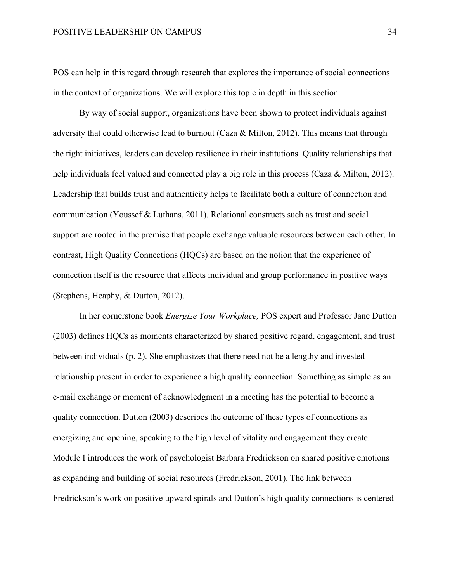POS can help in this regard through research that explores the importance of social connections in the context of organizations. We will explore this topic in depth in this section.

By way of social support, organizations have been shown to protect individuals against adversity that could otherwise lead to burnout (Caza & Milton, 2012). This means that through the right initiatives, leaders can develop resilience in their institutions. Quality relationships that help individuals feel valued and connected play a big role in this process (Caza & Milton, 2012). Leadership that builds trust and authenticity helps to facilitate both a culture of connection and communication (Youssef & Luthans, 2011). Relational constructs such as trust and social support are rooted in the premise that people exchange valuable resources between each other. In contrast, High Quality Connections (HQCs) are based on the notion that the experience of connection itself is the resource that affects individual and group performance in positive ways (Stephens, Heaphy, & Dutton, 2012).

In her cornerstone book *Energize Your Workplace,* POS expert and Professor Jane Dutton (2003) defines HQCs as moments characterized by shared positive regard, engagement, and trust between individuals (p. 2). She emphasizes that there need not be a lengthy and invested relationship present in order to experience a high quality connection. Something as simple as an e-mail exchange or moment of acknowledgment in a meeting has the potential to become a quality connection. Dutton (2003) describes the outcome of these types of connections as energizing and opening, speaking to the high level of vitality and engagement they create. Module I introduces the work of psychologist Barbara Fredrickson on shared positive emotions as expanding and building of social resources (Fredrickson, 2001). The link between Fredrickson's work on positive upward spirals and Dutton's high quality connections is centered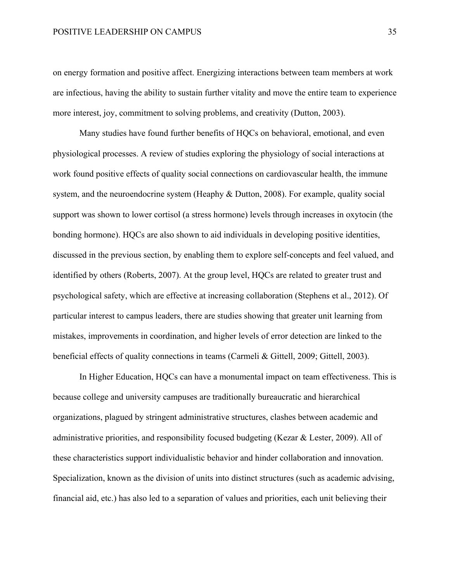#### POSITIVE LEADERSHIP ON CAMPUS 35

on energy formation and positive affect. Energizing interactions between team members at work are infectious, having the ability to sustain further vitality and move the entire team to experience more interest, joy, commitment to solving problems, and creativity (Dutton, 2003).

Many studies have found further benefits of HQCs on behavioral, emotional, and even physiological processes. A review of studies exploring the physiology of social interactions at work found positive effects of quality social connections on cardiovascular health, the immune system, and the neuroendocrine system (Heaphy & Dutton, 2008). For example, quality social support was shown to lower cortisol (a stress hormone) levels through increases in oxytocin (the bonding hormone). HQCs are also shown to aid individuals in developing positive identities, discussed in the previous section, by enabling them to explore self-concepts and feel valued, and identified by others (Roberts, 2007). At the group level, HQCs are related to greater trust and psychological safety, which are effective at increasing collaboration (Stephens et al., 2012). Of particular interest to campus leaders, there are studies showing that greater unit learning from mistakes, improvements in coordination, and higher levels of error detection are linked to the beneficial effects of quality connections in teams (Carmeli & Gittell, 2009; Gittell, 2003).

In Higher Education, HQCs can have a monumental impact on team effectiveness. This is because college and university campuses are traditionally bureaucratic and hierarchical organizations, plagued by stringent administrative structures, clashes between academic and administrative priorities, and responsibility focused budgeting (Kezar & Lester, 2009). All of these characteristics support individualistic behavior and hinder collaboration and innovation. Specialization, known as the division of units into distinct structures (such as academic advising, financial aid, etc.) has also led to a separation of values and priorities, each unit believing their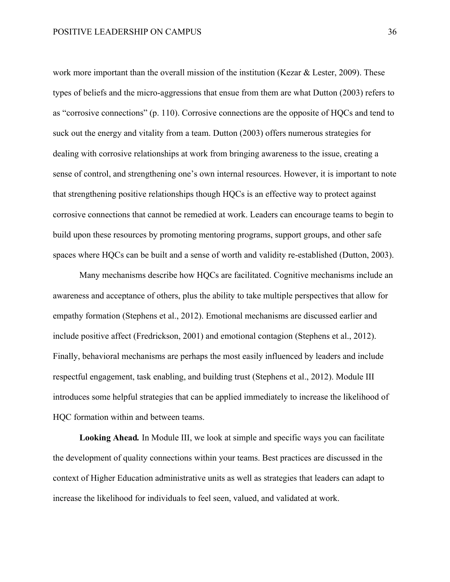work more important than the overall mission of the institution (Kezar & Lester, 2009). These types of beliefs and the micro-aggressions that ensue from them are what Dutton (2003) refers to as "corrosive connections" (p. 110). Corrosive connections are the opposite of HQCs and tend to suck out the energy and vitality from a team. Dutton (2003) offers numerous strategies for dealing with corrosive relationships at work from bringing awareness to the issue, creating a sense of control, and strengthening one's own internal resources. However, it is important to note that strengthening positive relationships though HQCs is an effective way to protect against corrosive connections that cannot be remedied at work. Leaders can encourage teams to begin to build upon these resources by promoting mentoring programs, support groups, and other safe spaces where HQCs can be built and a sense of worth and validity re-established (Dutton, 2003).

Many mechanisms describe how HQCs are facilitated. Cognitive mechanisms include an awareness and acceptance of others, plus the ability to take multiple perspectives that allow for empathy formation (Stephens et al., 2012). Emotional mechanisms are discussed earlier and include positive affect (Fredrickson, 2001) and emotional contagion (Stephens et al., 2012). Finally, behavioral mechanisms are perhaps the most easily influenced by leaders and include respectful engagement, task enabling, and building trust (Stephens et al., 2012). Module III introduces some helpful strategies that can be applied immediately to increase the likelihood of HQC formation within and between teams.

**Looking Ahead***.* In Module III, we look at simple and specific ways you can facilitate the development of quality connections within your teams. Best practices are discussed in the context of Higher Education administrative units as well as strategies that leaders can adapt to increase the likelihood for individuals to feel seen, valued, and validated at work.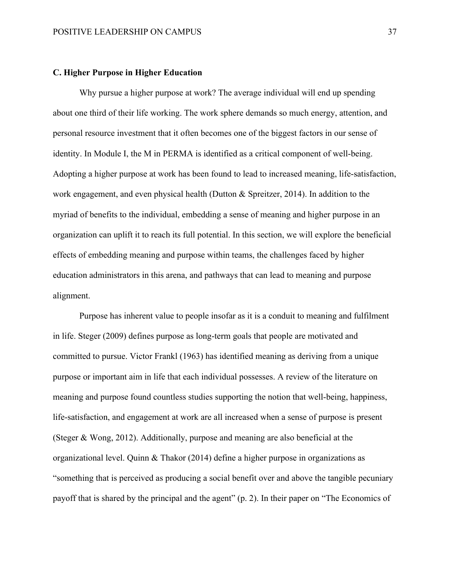## **C. Higher Purpose in Higher Education**

Why pursue a higher purpose at work? The average individual will end up spending about one third of their life working. The work sphere demands so much energy, attention, and personal resource investment that it often becomes one of the biggest factors in our sense of identity. In Module I, the M in PERMA is identified as a critical component of well-being. Adopting a higher purpose at work has been found to lead to increased meaning, life-satisfaction, work engagement, and even physical health (Dutton & Spreitzer, 2014). In addition to the myriad of benefits to the individual, embedding a sense of meaning and higher purpose in an organization can uplift it to reach its full potential. In this section, we will explore the beneficial effects of embedding meaning and purpose within teams, the challenges faced by higher education administrators in this arena, and pathways that can lead to meaning and purpose alignment.

Purpose has inherent value to people insofar as it is a conduit to meaning and fulfilment in life. Steger (2009) defines purpose as long-term goals that people are motivated and committed to pursue. Victor Frankl (1963) has identified meaning as deriving from a unique purpose or important aim in life that each individual possesses. A review of the literature on meaning and purpose found countless studies supporting the notion that well-being, happiness, life-satisfaction, and engagement at work are all increased when a sense of purpose is present (Steger & Wong, 2012). Additionally, purpose and meaning are also beneficial at the organizational level. Quinn & Thakor (2014) define a higher purpose in organizations as "something that is perceived as producing a social benefit over and above the tangible pecuniary payoff that is shared by the principal and the agent" (p. 2). In their paper on "The Economics of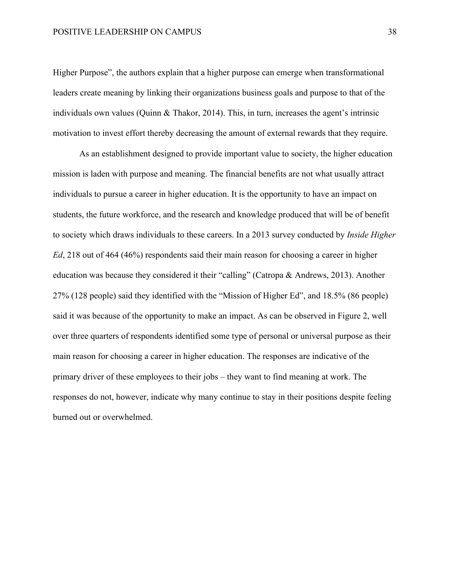Higher Purpose", the authors explain that a higher purpose can emerge when transformational leaders create meaning by linking their organizations business goals and purpose to that of the individuals own values (Quinn & Thakor, 2014). This, in turn, increases the agent's intrinsic motivation to invest effort thereby decreasing the amount of external rewards that they require.

As an establishment designed to provide important value to society, the higher education mission is laden with purpose and meaning. The financial benefits are not what usually attract individuals to pursue a career in higher education. It is the opportunity to have an impact on students, the future workforce, and the research and knowledge produced that will be of benefit to society which draws individuals to these careers. In a 2013 survey conducted by *Inside Higher Ed*, 218 out of 464 (46%) respondents said their main reason for choosing a career in higher education was because they considered it their "calling" (Catropa & Andrews, 2013). Another 27% (128 people) said they identified with the "Mission of Higher Ed", and 18.5% (86 people) said it was because of the opportunity to make an impact. As can be observed in Figure 2, well over three quarters of respondents identified some type of personal or universal purpose as their main reason for choosing a career in higher education. The responses are indicative of the primary driver of these employees to their jobs – they want to find meaning at work. The responses do not, however, indicate why many continue to stay in their positions despite feeling burned out or overwhelmed.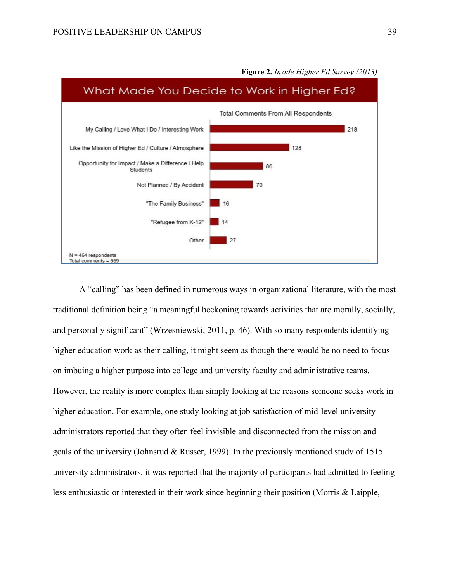

**Figure 2.** *Inside Higher Ed Survey (2013)*

A "calling" has been defined in numerous ways in organizational literature, with the most traditional definition being "a meaningful beckoning towards activities that are morally, socially, and personally significant" (Wrzesniewski, 2011, p. 46). With so many respondents identifying higher education work as their calling, it might seem as though there would be no need to focus on imbuing a higher purpose into college and university faculty and administrative teams. However, the reality is more complex than simply looking at the reasons someone seeks work in higher education. For example, one study looking at job satisfaction of mid-level university administrators reported that they often feel invisible and disconnected from the mission and goals of the university (Johnsrud & Russer, 1999). In the previously mentioned study of 1515 university administrators, it was reported that the majority of participants had admitted to feeling less enthusiastic or interested in their work since beginning their position (Morris & Laipple,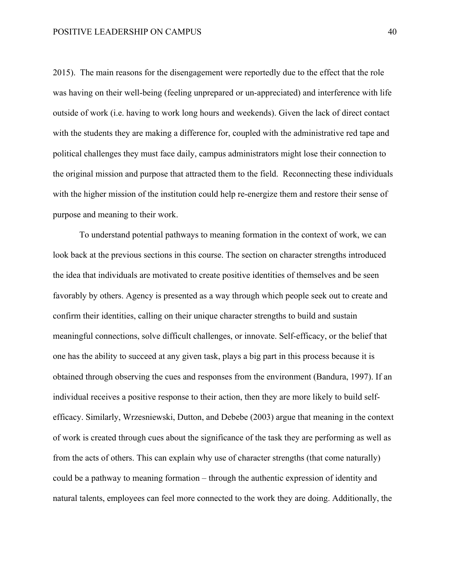2015). The main reasons for the disengagement were reportedly due to the effect that the role was having on their well-being (feeling unprepared or un-appreciated) and interference with life outside of work (i.e. having to work long hours and weekends). Given the lack of direct contact with the students they are making a difference for, coupled with the administrative red tape and political challenges they must face daily, campus administrators might lose their connection to the original mission and purpose that attracted them to the field. Reconnecting these individuals with the higher mission of the institution could help re-energize them and restore their sense of purpose and meaning to their work.

To understand potential pathways to meaning formation in the context of work, we can look back at the previous sections in this course. The section on character strengths introduced the idea that individuals are motivated to create positive identities of themselves and be seen favorably by others. Agency is presented as a way through which people seek out to create and confirm their identities, calling on their unique character strengths to build and sustain meaningful connections, solve difficult challenges, or innovate. Self-efficacy, or the belief that one has the ability to succeed at any given task, plays a big part in this process because it is obtained through observing the cues and responses from the environment (Bandura, 1997). If an individual receives a positive response to their action, then they are more likely to build selfefficacy. Similarly, Wrzesniewski, Dutton, and Debebe (2003) argue that meaning in the context of work is created through cues about the significance of the task they are performing as well as from the acts of others. This can explain why use of character strengths (that come naturally) could be a pathway to meaning formation – through the authentic expression of identity and natural talents, employees can feel more connected to the work they are doing. Additionally, the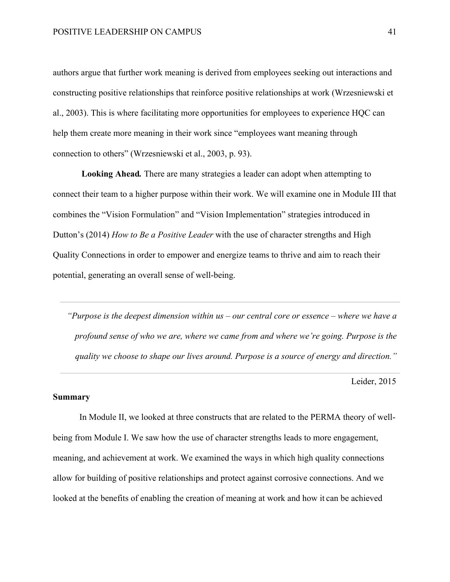authors argue that further work meaning is derived from employees seeking out interactions and constructing positive relationships that reinforce positive relationships at work (Wrzesniewski et al., 2003). This is where facilitating more opportunities for employees to experience HQC can help them create more meaning in their work since "employees want meaning through connection to others" (Wrzesniewski et al., 2003, p. 93).

**Looking Ahead***.* There are many strategies a leader can adopt when attempting to connect their team to a higher purpose within their work. We will examine one in Module III that combines the "Vision Formulation" and "Vision Implementation" strategies introduced in Dutton's (2014) *How to Be a Positive Leader* with the use of character strengths and High Quality Connections in order to empower and energize teams to thrive and aim to reach their potential, generating an overall sense of well-being.

*"Purpose is the deepest dimension within us – our central core or essence – where we have a profound sense of who we are, where we came from and where we're going. Purpose is the quality we choose to shape our lives around. Purpose is a source of energy and direction."*

Leider, 2015

## **Summary**

In Module II, we looked at three constructs that are related to the PERMA theory of wellbeing from Module I. We saw how the use of character strengths leads to more engagement, meaning, and achievement at work. We examined the ways in which high quality connections allow for building of positive relationships and protect against corrosive connections. And we looked at the benefits of enabling the creation of meaning at work and how it can be achieved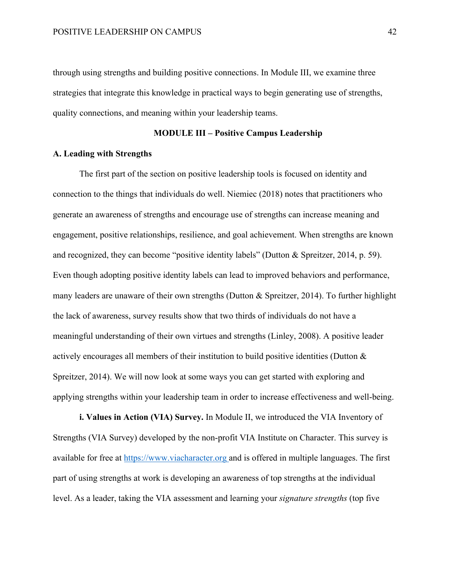through using strengths and building positive connections. In Module III, we examine three strategies that integrate this knowledge in practical ways to begin generating use of strengths, quality connections, and meaning within your leadership teams.

## **MODULE III – Positive Campus Leadership**

### **A. Leading with Strengths**

The first part of the section on positive leadership tools is focused on identity and connection to the things that individuals do well. Niemiec (2018) notes that practitioners who generate an awareness of strengths and encourage use of strengths can increase meaning and engagement, positive relationships, resilience, and goal achievement. When strengths are known and recognized, they can become "positive identity labels" (Dutton & Spreitzer, 2014, p. 59). Even though adopting positive identity labels can lead to improved behaviors and performance, many leaders are unaware of their own strengths (Dutton & Spreitzer, 2014). To further highlight the lack of awareness, survey results show that two thirds of individuals do not have a meaningful understanding of their own virtues and strengths (Linley, 2008). A positive leader actively encourages all members of their institution to build positive identities (Dutton & Spreitzer, 2014). We will now look at some ways you can get started with exploring and applying strengths within your leadership team in order to increase effectiveness and well-being.

**i. Values in Action (VIA) Survey.** In Module II, we introduced the VIA Inventory of Strengths (VIA Survey) developed by the non-profit VIA Institute on Character. This survey is available for free at https://www.viacharacter.org and is offered in multiple languages. The first part of using strengths at work is developing an awareness of top strengths at the individual level. As a leader, taking the VIA assessment and learning your *signature strengths* (top five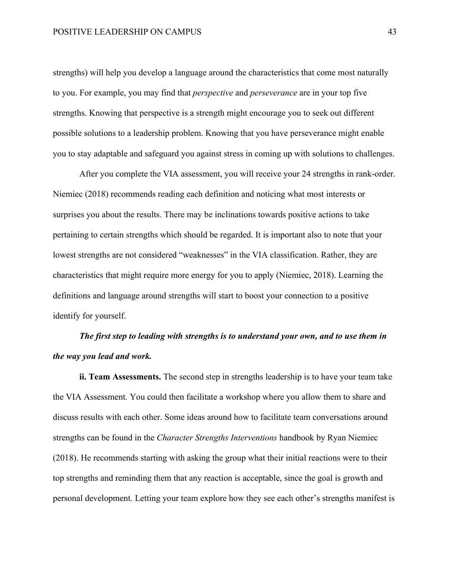strengths) will help you develop a language around the characteristics that come most naturally to you. For example, you may find that *perspective* and *perseverance* are in your top five strengths. Knowing that perspective is a strength might encourage you to seek out different possible solutions to a leadership problem. Knowing that you have perseverance might enable you to stay adaptable and safeguard you against stress in coming up with solutions to challenges.

After you complete the VIA assessment, you will receive your 24 strengths in rank-order. Niemiec (2018) recommends reading each definition and noticing what most interests or surprises you about the results. There may be inclinations towards positive actions to take pertaining to certain strengths which should be regarded. It is important also to note that your lowest strengths are not considered "weaknesses" in the VIA classification. Rather, they are characteristics that might require more energy for you to apply (Niemiec, 2018). Learning the definitions and language around strengths will start to boost your connection to a positive identify for yourself.

*The first step to leading with strengths is to understand your own, and to use them in the way you lead and work.*

**ii. Team Assessments.** The second step in strengths leadership is to have your team take the VIA Assessment. You could then facilitate a workshop where you allow them to share and discuss results with each other. Some ideas around how to facilitate team conversations around strengths can be found in the *Character Strengths Interventions* handbook by Ryan Niemiec (2018). He recommends starting with asking the group what their initial reactions were to their top strengths and reminding them that any reaction is acceptable, since the goal is growth and personal development. Letting your team explore how they see each other's strengths manifest is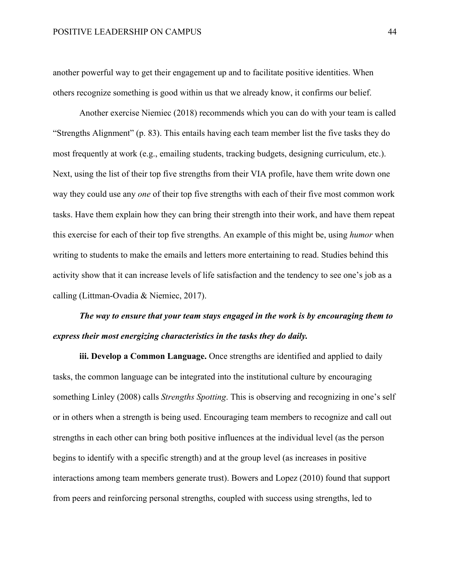another powerful way to get their engagement up and to facilitate positive identities. When others recognize something is good within us that we already know, it confirms our belief.

Another exercise Niemiec (2018) recommends which you can do with your team is called "Strengths Alignment" (p. 83). This entails having each team member list the five tasks they do most frequently at work (e.g., emailing students, tracking budgets, designing curriculum, etc.). Next, using the list of their top five strengths from their VIA profile, have them write down one way they could use any *one* of their top five strengths with each of their five most common work tasks. Have them explain how they can bring their strength into their work, and have them repeat this exercise for each of their top five strengths. An example of this might be, using *humor* when writing to students to make the emails and letters more entertaining to read. Studies behind this activity show that it can increase levels of life satisfaction and the tendency to see one's job as a calling (Littman-Ovadia & Niemiec, 2017).

## *The way to ensure that your team stays engaged in the work is by encouraging them to express their most energizing characteristics in the tasks they do daily.*

**iii. Develop a Common Language.** Once strengths are identified and applied to daily tasks, the common language can be integrated into the institutional culture by encouraging something Linley (2008) calls *Strengths Spotting*. This is observing and recognizing in one's self or in others when a strength is being used. Encouraging team members to recognize and call out strengths in each other can bring both positive influences at the individual level (as the person begins to identify with a specific strength) and at the group level (as increases in positive interactions among team members generate trust). Bowers and Lopez (2010) found that support from peers and reinforcing personal strengths, coupled with success using strengths, led to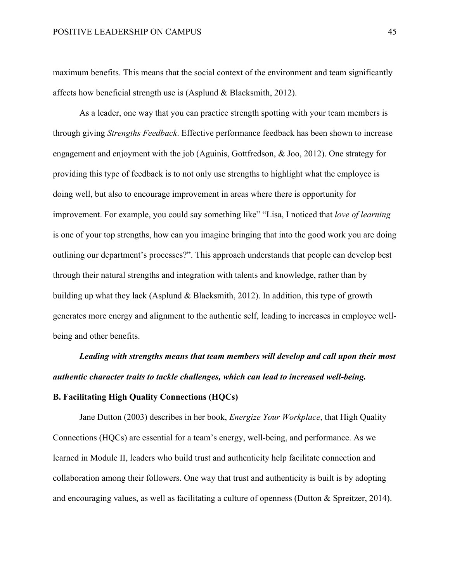maximum benefits. This means that the social context of the environment and team significantly affects how beneficial strength use is (Asplund & Blacksmith, 2012).

As a leader, one way that you can practice strength spotting with your team members is through giving *Strengths Feedback*. Effective performance feedback has been shown to increase engagement and enjoyment with the job (Aguinis, Gottfredson, & Joo, 2012). One strategy for providing this type of feedback is to not only use strengths to highlight what the employee is doing well, but also to encourage improvement in areas where there is opportunity for improvement. For example, you could say something like" "Lisa, I noticed that *love of learning* is one of your top strengths, how can you imagine bringing that into the good work you are doing outlining our department's processes?". This approach understands that people can develop best through their natural strengths and integration with talents and knowledge, rather than by building up what they lack (Asplund & Blacksmith, 2012). In addition, this type of growth generates more energy and alignment to the authentic self, leading to increases in employee wellbeing and other benefits.

*Leading with strengths means that team members will develop and call upon their most authentic character traits to tackle challenges, which can lead to increased well-being.* **B. Facilitating High Quality Connections (HQCs)**

Jane Dutton (2003) describes in her book, *Energize Your Workplace*, that High Quality Connections (HQCs) are essential for a team's energy, well-being, and performance. As we learned in Module II, leaders who build trust and authenticity help facilitate connection and collaboration among their followers. One way that trust and authenticity is built is by adopting and encouraging values, as well as facilitating a culture of openness (Dutton & Spreitzer, 2014).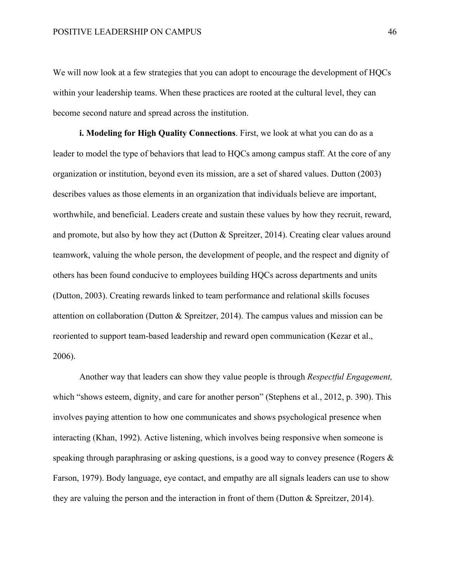We will now look at a few strategies that you can adopt to encourage the development of HQCs within your leadership teams. When these practices are rooted at the cultural level, they can become second nature and spread across the institution.

**i. Modeling for High Quality Connections**. First, we look at what you can do as a leader to model the type of behaviors that lead to HQCs among campus staff. At the core of any organization or institution, beyond even its mission, are a set of shared values. Dutton (2003) describes values as those elements in an organization that individuals believe are important, worthwhile, and beneficial. Leaders create and sustain these values by how they recruit, reward, and promote, but also by how they act (Dutton & Spreitzer, 2014). Creating clear values around teamwork, valuing the whole person, the development of people, and the respect and dignity of others has been found conducive to employees building HQCs across departments and units (Dutton, 2003). Creating rewards linked to team performance and relational skills focuses attention on collaboration (Dutton & Spreitzer, 2014). The campus values and mission can be reoriented to support team-based leadership and reward open communication (Kezar et al., 2006).

Another way that leaders can show they value people is through *Respectful Engagement,* which "shows esteem, dignity, and care for another person" (Stephens et al., 2012, p. 390). This involves paying attention to how one communicates and shows psychological presence when interacting (Khan, 1992). Active listening, which involves being responsive when someone is speaking through paraphrasing or asking questions, is a good way to convey presence (Rogers & Farson, 1979). Body language, eye contact, and empathy are all signals leaders can use to show they are valuing the person and the interaction in front of them (Dutton & Spreitzer, 2014).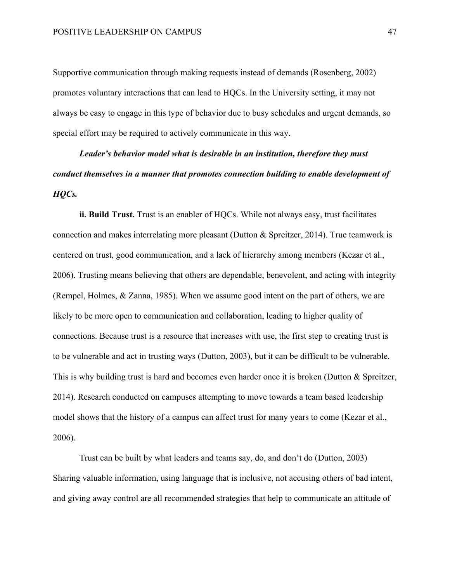Supportive communication through making requests instead of demands (Rosenberg, 2002) promotes voluntary interactions that can lead to HQCs. In the University setting, it may not always be easy to engage in this type of behavior due to busy schedules and urgent demands, so special effort may be required to actively communicate in this way.

*Leader's behavior model what is desirable in an institution, therefore they must conduct themselves in a manner that promotes connection building to enable development of HQCs.* 

**ii. Build Trust.** Trust is an enabler of HQCs. While not always easy, trust facilitates connection and makes interrelating more pleasant (Dutton  $\&$  Spreitzer, 2014). True teamwork is centered on trust, good communication, and a lack of hierarchy among members (Kezar et al., 2006). Trusting means believing that others are dependable, benevolent, and acting with integrity (Rempel, Holmes, & Zanna, 1985). When we assume good intent on the part of others, we are likely to be more open to communication and collaboration, leading to higher quality of connections. Because trust is a resource that increases with use, the first step to creating trust is to be vulnerable and act in trusting ways (Dutton, 2003), but it can be difficult to be vulnerable. This is why building trust is hard and becomes even harder once it is broken (Dutton & Spreitzer, 2014). Research conducted on campuses attempting to move towards a team based leadership model shows that the history of a campus can affect trust for many years to come (Kezar et al., 2006).

Trust can be built by what leaders and teams say, do, and don't do (Dutton, 2003) Sharing valuable information, using language that is inclusive, not accusing others of bad intent, and giving away control are all recommended strategies that help to communicate an attitude of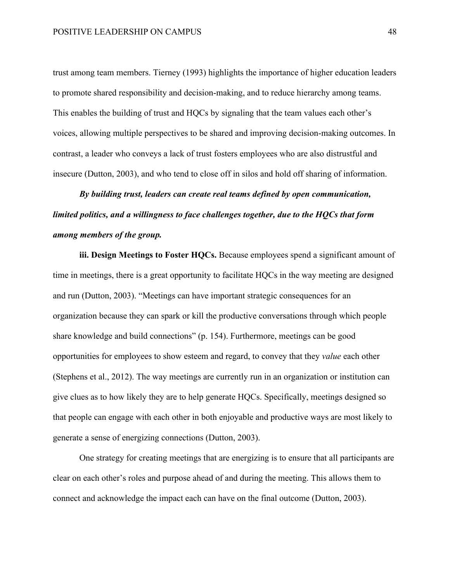trust among team members. Tierney (1993) highlights the importance of higher education leaders to promote shared responsibility and decision-making, and to reduce hierarchy among teams. This enables the building of trust and HQCs by signaling that the team values each other's voices, allowing multiple perspectives to be shared and improving decision-making outcomes. In contrast, a leader who conveys a lack of trust fosters employees who are also distrustful and insecure (Dutton, 2003), and who tend to close off in silos and hold off sharing of information.

*By building trust, leaders can create real teams defined by open communication, limited politics, and a willingness to face challenges together, due to the HQCs that form among members of the group.* 

**iii. Design Meetings to Foster HQCs.** Because employees spend a significant amount of time in meetings, there is a great opportunity to facilitate HQCs in the way meeting are designed and run (Dutton, 2003). "Meetings can have important strategic consequences for an organization because they can spark or kill the productive conversations through which people share knowledge and build connections" (p. 154). Furthermore, meetings can be good opportunities for employees to show esteem and regard, to convey that they *value* each other (Stephens et al., 2012). The way meetings are currently run in an organization or institution can give clues as to how likely they are to help generate HQCs. Specifically, meetings designed so that people can engage with each other in both enjoyable and productive ways are most likely to generate a sense of energizing connections (Dutton, 2003).

One strategy for creating meetings that are energizing is to ensure that all participants are clear on each other's roles and purpose ahead of and during the meeting. This allows them to connect and acknowledge the impact each can have on the final outcome (Dutton, 2003).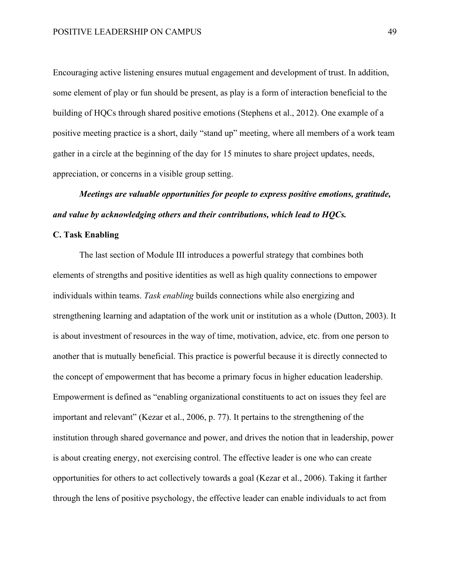Encouraging active listening ensures mutual engagement and development of trust. In addition, some element of play or fun should be present, as play is a form of interaction beneficial to the building of HQCs through shared positive emotions (Stephens et al., 2012). One example of a positive meeting practice is a short, daily "stand up" meeting, where all members of a work team gather in a circle at the beginning of the day for 15 minutes to share project updates, needs, appreciation, or concerns in a visible group setting.

# *Meetings are valuable opportunities for people to express positive emotions, gratitude, and value by acknowledging others and their contributions, which lead to HQCs.*

## **C. Task Enabling**

The last section of Module III introduces a powerful strategy that combines both elements of strengths and positive identities as well as high quality connections to empower individuals within teams. *Task enabling* builds connections while also energizing and strengthening learning and adaptation of the work unit or institution as a whole (Dutton, 2003). It is about investment of resources in the way of time, motivation, advice, etc. from one person to another that is mutually beneficial. This practice is powerful because it is directly connected to the concept of empowerment that has become a primary focus in higher education leadership. Empowerment is defined as "enabling organizational constituents to act on issues they feel are important and relevant" (Kezar et al., 2006, p. 77). It pertains to the strengthening of the institution through shared governance and power, and drives the notion that in leadership, power is about creating energy, not exercising control. The effective leader is one who can create opportunities for others to act collectively towards a goal (Kezar et al., 2006). Taking it farther through the lens of positive psychology, the effective leader can enable individuals to act from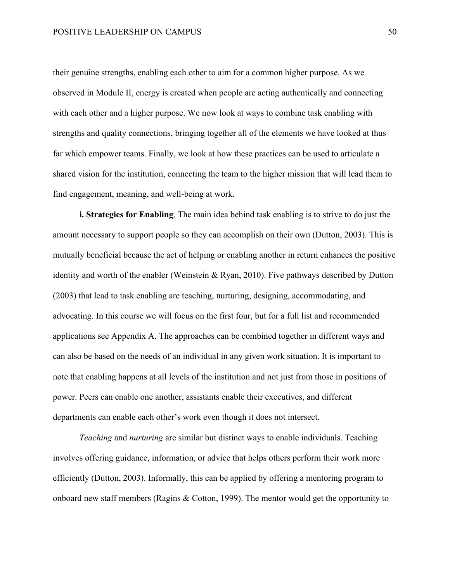their genuine strengths, enabling each other to aim for a common higher purpose. As we observed in Module II, energy is created when people are acting authentically and connecting with each other and a higher purpose. We now look at ways to combine task enabling with strengths and quality connections, bringing together all of the elements we have looked at thus far which empower teams. Finally, we look at how these practices can be used to articulate a shared vision for the institution, connecting the team to the higher mission that will lead them to find engagement, meaning, and well-being at work.

**i. Strategies for Enabling**. The main idea behind task enabling is to strive to do just the amount necessary to support people so they can accomplish on their own (Dutton, 2003). This is mutually beneficial because the act of helping or enabling another in return enhances the positive identity and worth of the enabler (Weinstein & Ryan, 2010). Five pathways described by Dutton (2003) that lead to task enabling are teaching, nurturing, designing, accommodating, and advocating. In this course we will focus on the first four, but for a full list and recommended applications see Appendix A. The approaches can be combined together in different ways and can also be based on the needs of an individual in any given work situation. It is important to note that enabling happens at all levels of the institution and not just from those in positions of power. Peers can enable one another, assistants enable their executives, and different departments can enable each other's work even though it does not intersect.

*Teaching* and *nurturing* are similar but distinct ways to enable individuals. Teaching involves offering guidance, information, or advice that helps others perform their work more efficiently (Dutton, 2003). Informally, this can be applied by offering a mentoring program to onboard new staff members (Ragins & Cotton, 1999). The mentor would get the opportunity to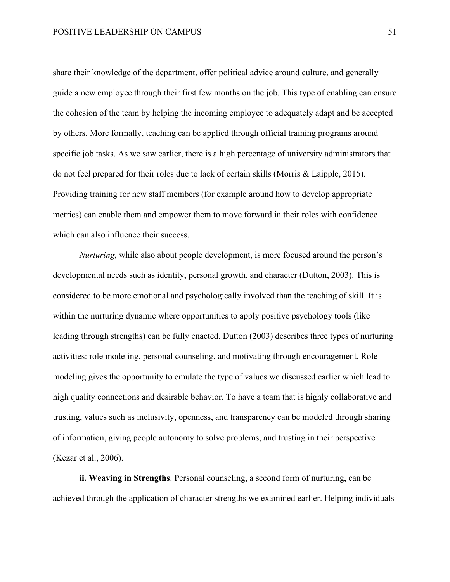share their knowledge of the department, offer political advice around culture, and generally guide a new employee through their first few months on the job. This type of enabling can ensure the cohesion of the team by helping the incoming employee to adequately adapt and be accepted by others. More formally, teaching can be applied through official training programs around specific job tasks. As we saw earlier, there is a high percentage of university administrators that do not feel prepared for their roles due to lack of certain skills (Morris & Laipple, 2015). Providing training for new staff members (for example around how to develop appropriate metrics) can enable them and empower them to move forward in their roles with confidence which can also influence their success.

*Nurturing*, while also about people development, is more focused around the person's developmental needs such as identity, personal growth, and character (Dutton, 2003). This is considered to be more emotional and psychologically involved than the teaching of skill. It is within the nurturing dynamic where opportunities to apply positive psychology tools (like leading through strengths) can be fully enacted. Dutton (2003) describes three types of nurturing activities: role modeling, personal counseling, and motivating through encouragement. Role modeling gives the opportunity to emulate the type of values we discussed earlier which lead to high quality connections and desirable behavior. To have a team that is highly collaborative and trusting, values such as inclusivity, openness, and transparency can be modeled through sharing of information, giving people autonomy to solve problems, and trusting in their perspective (Kezar et al., 2006).

**ii. Weaving in Strengths**. Personal counseling, a second form of nurturing, can be achieved through the application of character strengths we examined earlier. Helping individuals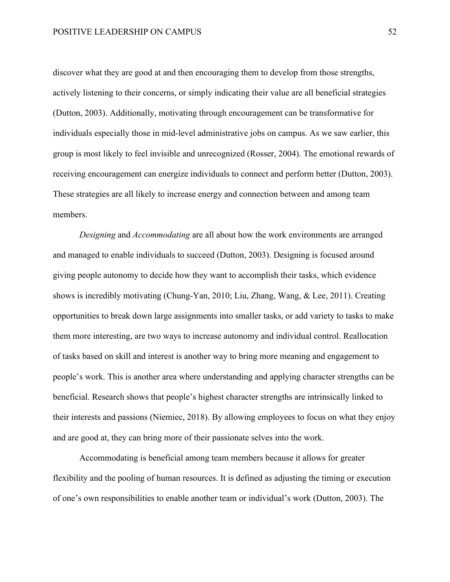discover what they are good at and then encouraging them to develop from those strengths, actively listening to their concerns, or simply indicating their value are all beneficial strategies (Dutton, 2003). Additionally, motivating through encouragement can be transformative for individuals especially those in mid-level administrative jobs on campus. As we saw earlier, this group is most likely to feel invisible and unrecognized (Rosser, 2004). The emotional rewards of receiving encouragement can energize individuals to connect and perform better (Dutton, 2003). These strategies are all likely to increase energy and connection between and among team members.

*Designing* and *Accommodating* are all about how the work environments are arranged and managed to enable individuals to succeed (Dutton, 2003). Designing is focused around giving people autonomy to decide how they want to accomplish their tasks, which evidence shows is incredibly motivating (Chung-Yan, 2010; Liu, Zhang, Wang, & Lee, 2011). Creating opportunities to break down large assignments into smaller tasks, or add variety to tasks to make them more interesting, are two ways to increase autonomy and individual control. Reallocation of tasks based on skill and interest is another way to bring more meaning and engagement to people's work. This is another area where understanding and applying character strengths can be beneficial. Research shows that people's highest character strengths are intrinsically linked to their interests and passions (Niemiec, 2018). By allowing employees to focus on what they enjoy and are good at, they can bring more of their passionate selves into the work.

Accommodating is beneficial among team members because it allows for greater flexibility and the pooling of human resources. It is defined as adjusting the timing or execution of one's own responsibilities to enable another team or individual's work (Dutton, 2003). The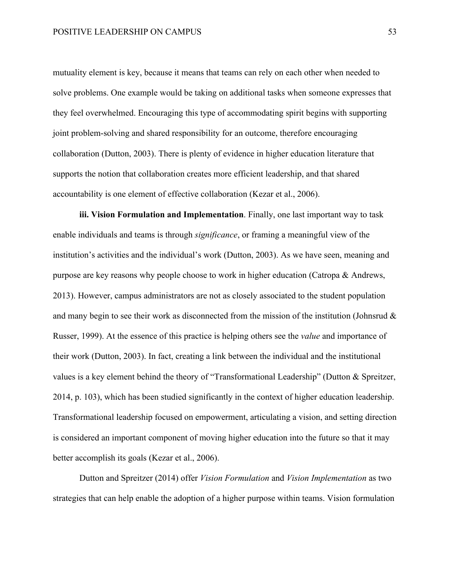mutuality element is key, because it means that teams can rely on each other when needed to solve problems. One example would be taking on additional tasks when someone expresses that they feel overwhelmed. Encouraging this type of accommodating spirit begins with supporting joint problem-solving and shared responsibility for an outcome, therefore encouraging collaboration (Dutton, 2003). There is plenty of evidence in higher education literature that supports the notion that collaboration creates more efficient leadership, and that shared accountability is one element of effective collaboration (Kezar et al., 2006).

**iii. Vision Formulation and Implementation**. Finally, one last important way to task enable individuals and teams is through *significance*, or framing a meaningful view of the institution's activities and the individual's work (Dutton, 2003). As we have seen, meaning and purpose are key reasons why people choose to work in higher education (Catropa & Andrews, 2013). However, campus administrators are not as closely associated to the student population and many begin to see their work as disconnected from the mission of the institution (Johnsrud & Russer, 1999). At the essence of this practice is helping others see the *value* and importance of their work (Dutton, 2003). In fact, creating a link between the individual and the institutional values is a key element behind the theory of "Transformational Leadership" (Dutton & Spreitzer, 2014, p. 103), which has been studied significantly in the context of higher education leadership. Transformational leadership focused on empowerment, articulating a vision, and setting direction is considered an important component of moving higher education into the future so that it may better accomplish its goals (Kezar et al., 2006).

Dutton and Spreitzer (2014) offer *Vision Formulation* and *Vision Implementation* as two strategies that can help enable the adoption of a higher purpose within teams. Vision formulation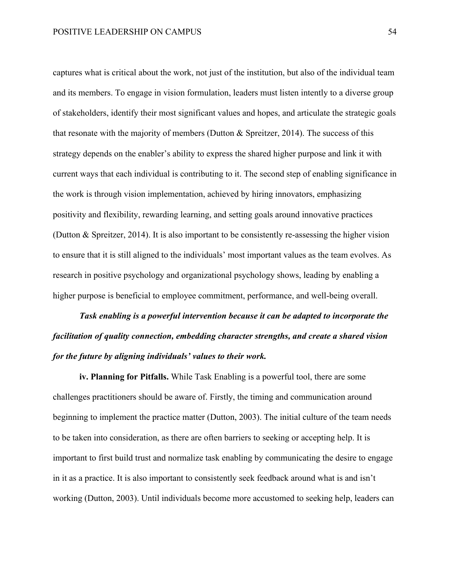captures what is critical about the work, not just of the institution, but also of the individual team and its members. To engage in vision formulation, leaders must listen intently to a diverse group of stakeholders, identify their most significant values and hopes, and articulate the strategic goals that resonate with the majority of members (Dutton  $\&$  Spreitzer, 2014). The success of this strategy depends on the enabler's ability to express the shared higher purpose and link it with current ways that each individual is contributing to it. The second step of enabling significance in the work is through vision implementation, achieved by hiring innovators, emphasizing positivity and flexibility, rewarding learning, and setting goals around innovative practices (Dutton & Spreitzer, 2014). It is also important to be consistently re-assessing the higher vision to ensure that it is still aligned to the individuals' most important values as the team evolves. As research in positive psychology and organizational psychology shows, leading by enabling a higher purpose is beneficial to employee commitment, performance, and well-being overall.

*Task enabling is a powerful intervention because it can be adapted to incorporate the facilitation of quality connection, embedding character strengths, and create a shared vision for the future by aligning individuals' values to their work.*

**iv. Planning for Pitfalls.** While Task Enabling is a powerful tool, there are some challenges practitioners should be aware of. Firstly, the timing and communication around beginning to implement the practice matter (Dutton, 2003). The initial culture of the team needs to be taken into consideration, as there are often barriers to seeking or accepting help. It is important to first build trust and normalize task enabling by communicating the desire to engage in it as a practice. It is also important to consistently seek feedback around what is and isn't working (Dutton, 2003). Until individuals become more accustomed to seeking help, leaders can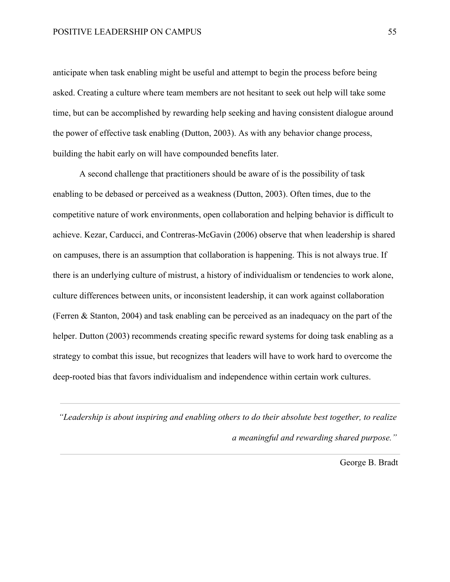anticipate when task enabling might be useful and attempt to begin the process before being asked. Creating a culture where team members are not hesitant to seek out help will take some time, but can be accomplished by rewarding help seeking and having consistent dialogue around the power of effective task enabling (Dutton, 2003). As with any behavior change process, building the habit early on will have compounded benefits later.

A second challenge that practitioners should be aware of is the possibility of task enabling to be debased or perceived as a weakness (Dutton, 2003). Often times, due to the competitive nature of work environments, open collaboration and helping behavior is difficult to achieve. Kezar, Carducci, and Contreras-McGavin (2006) observe that when leadership is shared on campuses, there is an assumption that collaboration is happening. This is not always true. If there is an underlying culture of mistrust, a history of individualism or tendencies to work alone, culture differences between units, or inconsistent leadership, it can work against collaboration (Ferren & Stanton, 2004) and task enabling can be perceived as an inadequacy on the part of the helper. Dutton (2003) recommends creating specific reward systems for doing task enabling as a strategy to combat this issue, but recognizes that leaders will have to work hard to overcome the deep-rooted bias that favors individualism and independence within certain work cultures.

*"Leadership is about inspiring and enabling others to do their absolute best together, to realize a meaningful and rewarding shared purpose."*

George B. Bradt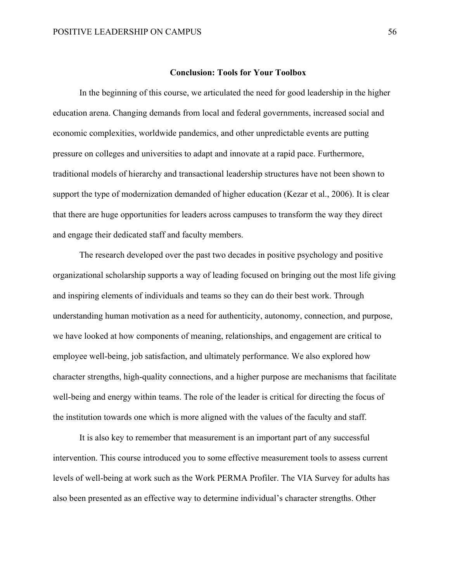#### **Conclusion: Tools for Your Toolbox**

In the beginning of this course, we articulated the need for good leadership in the higher education arena. Changing demands from local and federal governments, increased social and economic complexities, worldwide pandemics, and other unpredictable events are putting pressure on colleges and universities to adapt and innovate at a rapid pace. Furthermore, traditional models of hierarchy and transactional leadership structures have not been shown to support the type of modernization demanded of higher education (Kezar et al., 2006). It is clear that there are huge opportunities for leaders across campuses to transform the way they direct and engage their dedicated staff and faculty members.

The research developed over the past two decades in positive psychology and positive organizational scholarship supports a way of leading focused on bringing out the most life giving and inspiring elements of individuals and teams so they can do their best work. Through understanding human motivation as a need for authenticity, autonomy, connection, and purpose, we have looked at how components of meaning, relationships, and engagement are critical to employee well-being, job satisfaction, and ultimately performance. We also explored how character strengths, high-quality connections, and a higher purpose are mechanisms that facilitate well-being and energy within teams. The role of the leader is critical for directing the focus of the institution towards one which is more aligned with the values of the faculty and staff.

It is also key to remember that measurement is an important part of any successful intervention. This course introduced you to some effective measurement tools to assess current levels of well-being at work such as the Work PERMA Profiler. The VIA Survey for adults has also been presented as an effective way to determine individual's character strengths. Other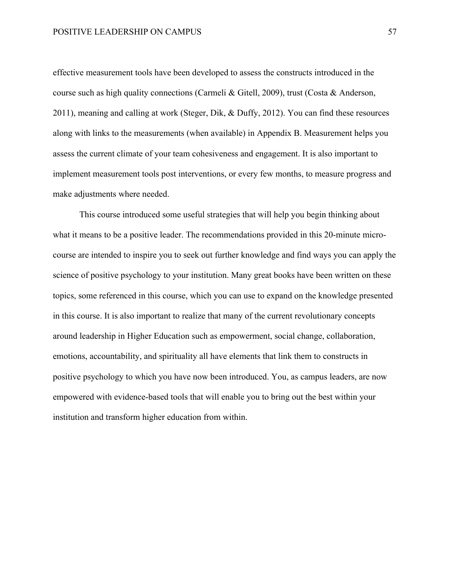effective measurement tools have been developed to assess the constructs introduced in the course such as high quality connections (Carmeli & Gitell, 2009), trust (Costa & Anderson, 2011), meaning and calling at work (Steger, Dik, & Duffy, 2012). You can find these resources along with links to the measurements (when available) in Appendix B. Measurement helps you assess the current climate of your team cohesiveness and engagement. It is also important to implement measurement tools post interventions, or every few months, to measure progress and make adjustments where needed.

This course introduced some useful strategies that will help you begin thinking about what it means to be a positive leader. The recommendations provided in this 20-minute microcourse are intended to inspire you to seek out further knowledge and find ways you can apply the science of positive psychology to your institution. Many great books have been written on these topics, some referenced in this course, which you can use to expand on the knowledge presented in this course. It is also important to realize that many of the current revolutionary concepts around leadership in Higher Education such as empowerment, social change, collaboration, emotions, accountability, and spirituality all have elements that link them to constructs in positive psychology to which you have now been introduced. You, as campus leaders, are now empowered with evidence-based tools that will enable you to bring out the best within your institution and transform higher education from within.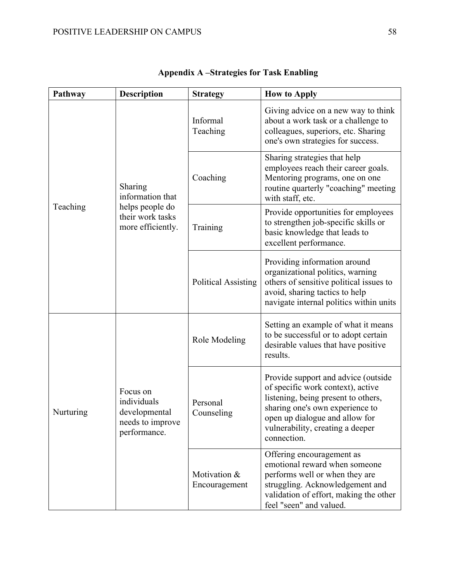| Pathway   | <b>Description</b>                                                                      | <b>Strategy</b>               | <b>How to Apply</b>                                                                                                                                                                                                                     |
|-----------|-----------------------------------------------------------------------------------------|-------------------------------|-----------------------------------------------------------------------------------------------------------------------------------------------------------------------------------------------------------------------------------------|
| Teaching  | Sharing<br>information that<br>helps people do<br>their work tasks<br>more efficiently. | Informal<br>Teaching          | Giving advice on a new way to think<br>about a work task or a challenge to<br>colleagues, superiors, etc. Sharing<br>one's own strategies for success.                                                                                  |
|           |                                                                                         | Coaching                      | Sharing strategies that help<br>employees reach their career goals.<br>Mentoring programs, one on one<br>routine quarterly "coaching" meeting<br>with staff, etc.                                                                       |
|           |                                                                                         | Training                      | Provide opportunities for employees<br>to strengthen job-specific skills or<br>basic knowledge that leads to<br>excellent performance.                                                                                                  |
|           |                                                                                         | <b>Political Assisting</b>    | Providing information around<br>organizational politics, warning<br>others of sensitive political issues to<br>avoid, sharing tactics to help<br>navigate internal politics within units                                                |
| Nurturing | Focus on<br>individuals<br>developmental<br>needs to improve<br>performance.            | Role Modeling                 | Setting an example of what it means<br>to be successful or to adopt certain<br>desirable values that have positive<br>results.                                                                                                          |
|           |                                                                                         | Personal<br>Counseling        | Provide support and advice (outside<br>of specific work context), active<br>listening, being present to others,<br>sharing one's own experience to<br>open up dialogue and allow for<br>vulnerability, creating a deeper<br>connection. |
|           |                                                                                         | Motivation &<br>Encouragement | Offering encouragement as<br>emotional reward when someone<br>performs well or when they are<br>struggling. Acknowledgement and<br>validation of effort, making the other<br>feel "seen" and valued.                                    |

| <b>Appendix A-Strategies for Task Enabling</b> |  |  |
|------------------------------------------------|--|--|
|------------------------------------------------|--|--|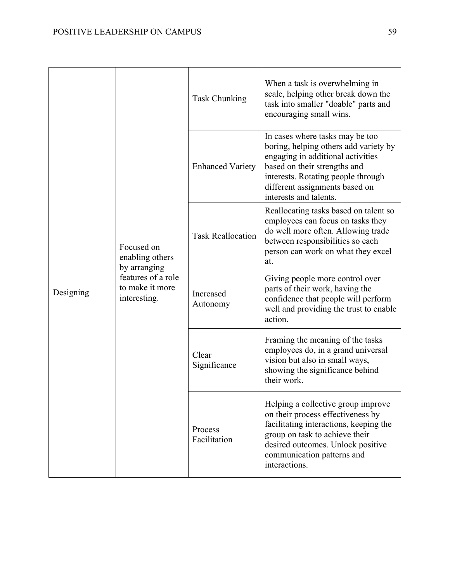| Designing | Focused on<br>enabling others<br>by arranging<br>features of a role<br>to make it more<br>interesting. | Task Chunking            | When a task is overwhelming in<br>scale, helping other break down the<br>task into smaller "doable" parts and<br>encouraging small wins.                                                                                                        |
|-----------|--------------------------------------------------------------------------------------------------------|--------------------------|-------------------------------------------------------------------------------------------------------------------------------------------------------------------------------------------------------------------------------------------------|
|           |                                                                                                        | <b>Enhanced Variety</b>  | In cases where tasks may be too<br>boring, helping others add variety by<br>engaging in additional activities<br>based on their strengths and<br>interests. Rotating people through<br>different assignments based on<br>interests and talents. |
|           |                                                                                                        | <b>Task Reallocation</b> | Reallocating tasks based on talent so<br>employees can focus on tasks they<br>do well more often. Allowing trade<br>between responsibilities so each<br>person can work on what they excel<br>at.                                               |
|           |                                                                                                        | Increased<br>Autonomy    | Giving people more control over<br>parts of their work, having the<br>confidence that people will perform<br>well and providing the trust to enable<br>action.                                                                                  |
|           |                                                                                                        | Clear<br>Significance    | Framing the meaning of the tasks<br>employees do, in a grand universal<br>vision but also in small ways,<br>showing the significance behind<br>their work.                                                                                      |
|           |                                                                                                        | Process<br>Facilitation  | Helping a collective group improve<br>on their process effectiveness by<br>facilitating interactions, keeping the<br>group on task to achieve their<br>desired outcomes. Unlock positive<br>communication patterns and<br>interactions.         |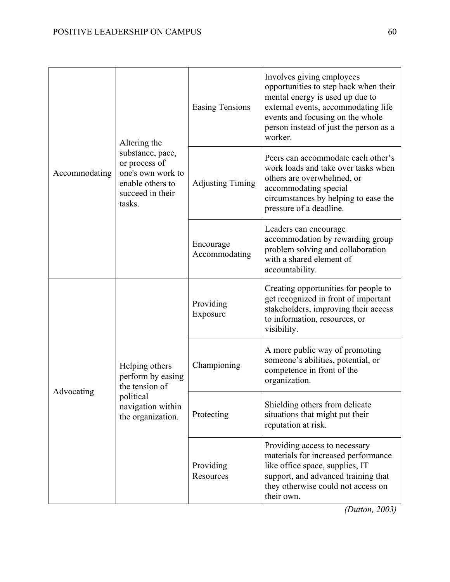| Accommodating | Altering the<br>substance, pace,<br>or process of<br>one's own work to<br>enable others to<br>succeed in their<br>tasks. | <b>Easing Tensions</b>     | Involves giving employees<br>opportunities to step back when their<br>mental energy is used up due to<br>external events, accommodating life<br>events and focusing on the whole<br>person instead of just the person as a<br>worker. |
|---------------|--------------------------------------------------------------------------------------------------------------------------|----------------------------|---------------------------------------------------------------------------------------------------------------------------------------------------------------------------------------------------------------------------------------|
|               |                                                                                                                          | <b>Adjusting Timing</b>    | Peers can accommodate each other's<br>work loads and take over tasks when<br>others are overwhelmed, or<br>accommodating special<br>circumstances by helping to ease the<br>pressure of a deadline.                                   |
|               |                                                                                                                          | Encourage<br>Accommodating | Leaders can encourage<br>accommodation by rewarding group<br>problem solving and collaboration<br>with a shared element of<br>accountability.                                                                                         |
| Advocating    | Helping others<br>perform by easing<br>the tension of<br>political<br>navigation within<br>the organization.             | Providing<br>Exposure      | Creating opportunities for people to<br>get recognized in front of important<br>stakeholders, improving their access<br>to information, resources, or<br>visibility.                                                                  |
|               |                                                                                                                          | Championing                | A more public way of promoting<br>someone's abilities, potential, or<br>competence in front of the<br>organization.                                                                                                                   |
|               |                                                                                                                          | Protecting                 | Shielding others from delicate<br>situations that might put their<br>reputation at risk.                                                                                                                                              |
|               |                                                                                                                          | Providing<br>Resources     | Providing access to necessary<br>materials for increased performance<br>like office space, supplies, IT<br>support, and advanced training that<br>they otherwise could not access on<br>their own.                                    |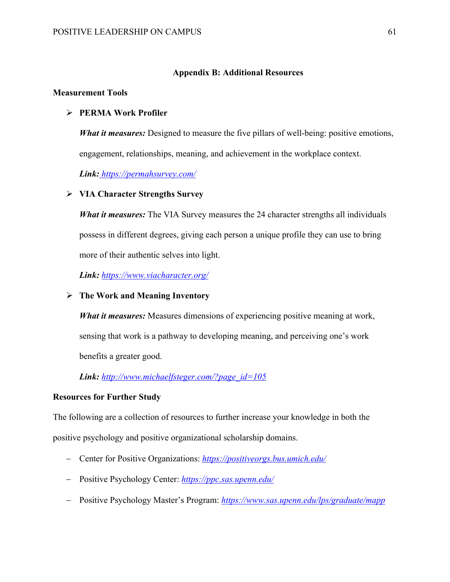## **Appendix B: Additional Resources**

### **Measurement Tools**

## Ø **PERMA Work Profiler**

*What it measures:* Designed to measure the five pillars of well-being: positive emotions, engagement, relationships, meaning, and achievement in the workplace context.

*Link: https://permahsurvey.com/*

## Ø **VIA Character Strengths Survey**

*What it measures:* The VIA Survey measures the 24 character strengths all individuals possess in different degrees, giving each person a unique profile they can use to bring more of their authentic selves into light.

*Link: https://www.viacharacter.org/*

### Ø **The Work and Meaning Inventory**

*What it measures:* Measures dimensions of experiencing positive meaning at work, sensing that work is a pathway to developing meaning, and perceiving one's work benefits a greater good.

## *Link: http://www.michaelfsteger.com/?page\_id=105*

## **Resources for Further Study**

The following are a collection of resources to further increase your knowledge in both the positive psychology and positive organizational scholarship domains.

- Center for Positive Organizations: *https://positiveorgs.bus.umich.edu/*
- Positive Psychology Center: *https://ppc.sas.upenn.edu/*
- Positive Psychology Master's Program: *https://www.sas.upenn.edu/lps/graduate/mapp*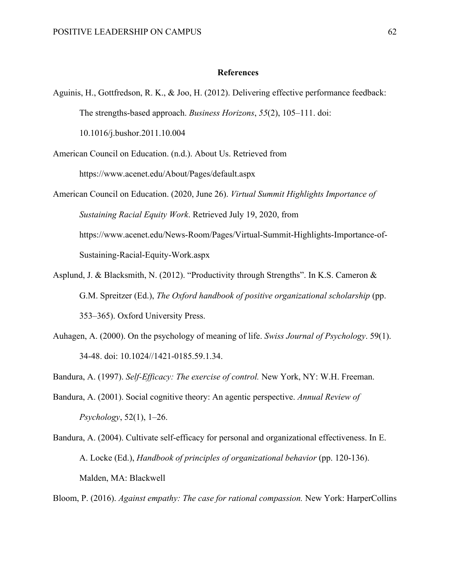#### **References**

Aguinis, H., Gottfredson, R. K., & Joo, H. (2012). Delivering effective performance feedback: The strengths-based approach. *Business Horizons*, *55*(2), 105–111. doi:

10.1016/j.bushor.2011.10.004

American Council on Education. (n.d.). About Us. Retrieved from

https://www.acenet.edu/About/Pages/default.aspx

American Council on Education. (2020, June 26). *Virtual Summit Highlights Importance of Sustaining Racial Equity Work*. Retrieved July 19, 2020, from https://www.acenet.edu/News-Room/Pages/Virtual-Summit-Highlights-Importance-of-Sustaining-Racial-Equity-Work.aspx

- Asplund, J. & Blacksmith, N. (2012). "Productivity through Strengths". In K.S. Cameron & G.M. Spreitzer (Ed.), *The Oxford handbook of positive organizational scholarship* (pp. 353–365). Oxford University Press.
- Auhagen, A. (2000). On the psychology of meaning of life. *Swiss Journal of Psychology*. 59(1). 34-48. doi: 10.1024//1421-0185.59.1.34.

Bandura, A. (1997). *Self-Efficacy: The exercise of control.* New York, NY: W.H. Freeman.

- Bandura, A. (2001). Social cognitive theory: An agentic perspective. *Annual Review of Psychology*, 52(1), 1–26.
- Bandura, A. (2004). Cultivate self-efficacy for personal and organizational effectiveness. In E. A. Locke (Ed.), *Handbook of principles of organizational behavior* (pp. 120-136). Malden, MA: Blackwell

Bloom, P. (2016). *Against empathy: The case for rational compassion.* New York: HarperCollins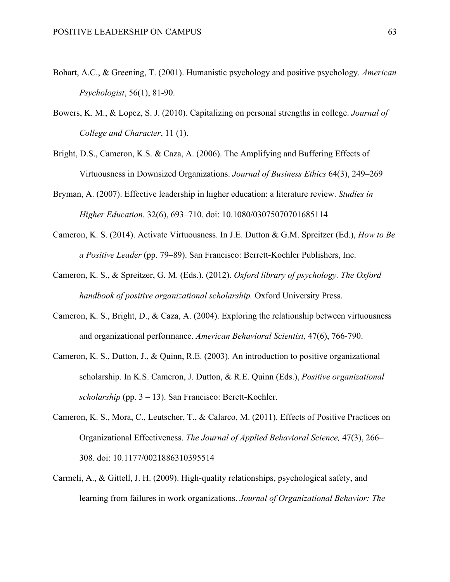- Bohart, A.C., & Greening, T. (2001). Humanistic psychology and positive psychology. *American Psychologist*, 56(1), 81-90.
- Bowers, K. M., & Lopez, S. J. (2010). Capitalizing on personal strengths in college. *Journal of College and Character*, 11 (1).
- Bright, D.S., Cameron, K.S. & Caza, A. (2006). The Amplifying and Buffering Effects of Virtuousness in Downsized Organizations. *Journal of Business Ethics* 64(3), 249–269
- Bryman, A. (2007). Effective leadership in higher education: a literature review. *Studies in Higher Education.* 32(6), 693–710. doi: 10.1080/03075070701685114
- Cameron, K. S. (2014). Activate Virtuousness. In J.E. Dutton & G.M. Spreitzer (Ed.), *How to Be a Positive Leader* (pp. 79–89). San Francisco: Berrett-Koehler Publishers, Inc.
- Cameron, K. S., & Spreitzer, G. M. (Eds.). (2012). *Oxford library of psychology. The Oxford handbook of positive organizational scholarship.* Oxford University Press.
- Cameron, K. S., Bright, D., & Caza, A. (2004). Exploring the relationship between virtuousness and organizational performance. *American Behavioral Scientist*, 47(6), 766-790.
- Cameron, K. S., Dutton, J., & Quinn, R.E. (2003). An introduction to positive organizational scholarship. In K.S. Cameron, J. Dutton, & R.E. Quinn (Eds.), *Positive organizational scholarship* (pp. 3 – 13). San Francisco: Berett-Koehler.
- Cameron, K. S., Mora, C., Leutscher, T., & Calarco, M. (2011). Effects of Positive Practices on Organizational Effectiveness. *The Journal of Applied Behavioral Science,* 47(3), 266– 308. doi: 10.1177/0021886310395514
- Carmeli, A., & Gittell, J. H. (2009). High‐quality relationships, psychological safety, and learning from failures in work organizations. *Journal of Organizational Behavior: The*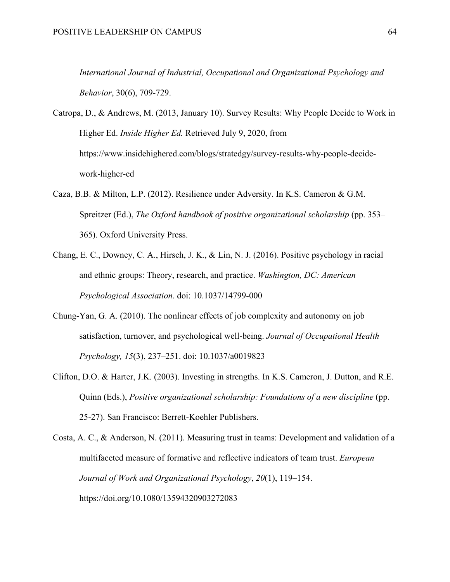*International Journal of Industrial, Occupational and Organizational Psychology and Behavior*, 30(6), 709-729.

Catropa, D., & Andrews, M. (2013, January 10). Survey Results: Why People Decide to Work in Higher Ed. *Inside Higher Ed.* Retrieved July 9, 2020, from https://www.insidehighered.com/blogs/stratedgy/survey-results-why-people-decidework-higher-ed

- Caza, B.B. & Milton, L.P. (2012). Resilience under Adversity. In K.S. Cameron & G.M. Spreitzer (Ed.), *The Oxford handbook of positive organizational scholarship* (pp. 353– 365). Oxford University Press.
- Chang, E. C., Downey, C. A., Hirsch, J. K., & Lin, N. J. (2016). Positive psychology in racial and ethnic groups: Theory, research, and practice. *Washington, DC: American Psychological Association*. doi: 10.1037/14799-000
- Chung-Yan, G. A. (2010). The nonlinear effects of job complexity and autonomy on job satisfaction, turnover, and psychological well-being. *Journal of Occupational Health Psychology, 15*(3), 237–251. doi: 10.1037/a0019823
- Clifton, D.O. & Harter, J.K. (2003). Investing in strengths. In K.S. Cameron, J. Dutton, and R.E. Quinn (Eds.), *Positive organizational scholarship: Foundations of a new discipline* (pp. 25-27). San Francisco: Berrett-Koehler Publishers.

Costa, A. C., & Anderson, N. (2011). Measuring trust in teams: Development and validation of a multifaceted measure of formative and reflective indicators of team trust. *European Journal of Work and Organizational Psychology*, *20*(1), 119–154. https://doi.org/10.1080/13594320903272083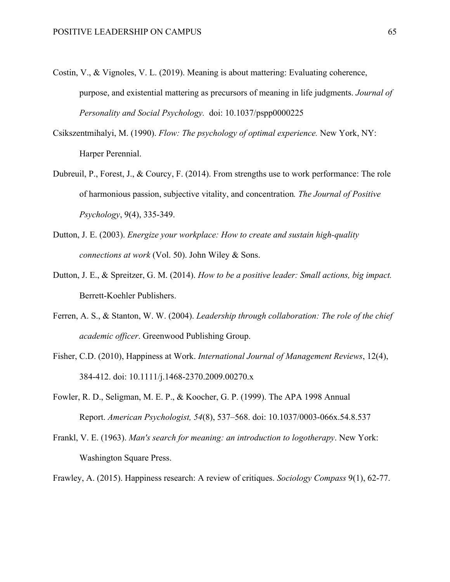- Costin, V., & Vignoles, V. L. (2019). Meaning is about mattering: Evaluating coherence, purpose, and existential mattering as precursors of meaning in life judgments. *Journal of Personality and Social Psychology.* doi: 10.1037/pspp0000225
- Csikszentmihalyi, M. (1990). *Flow: The psychology of optimal experience.* New York, NY: Harper Perennial.
- Dubreuil, P., Forest, J., & Courcy, F. (2014). From strengths use to work performance: The role of harmonious passion, subjective vitality, and concentration*. The Journal of Positive Psychology*, 9(4), 335-349.
- Dutton, J. E. (2003). *Energize your workplace: How to create and sustain high-quality connections at work* (Vol. 50). John Wiley & Sons.
- Dutton, J. E., & Spreitzer, G. M. (2014). *How to be a positive leader: Small actions, big impact.* Berrett-Koehler Publishers.
- Ferren, A. S., & Stanton, W. W. (2004). *Leadership through collaboration: The role of the chief academic officer*. Greenwood Publishing Group.
- Fisher, C.D. (2010), Happiness at Work. *International Journal of Management Reviews*, 12(4), 384-412. doi: 10.1111/j.1468-2370.2009.00270.x
- Fowler, R. D., Seligman, M. E. P., & Koocher, G. P. (1999). The APA 1998 Annual Report. *American Psychologist, 54*(8), 537–568. doi: 10.1037/0003-066x.54.8.537
- Frankl, V. E. (1963). *Man's search for meaning: an introduction to logotherapy*. New York: Washington Square Press.

Frawley, A. (2015). Happiness research: A review of critiques. *Sociology Compass* 9(1), 62-77.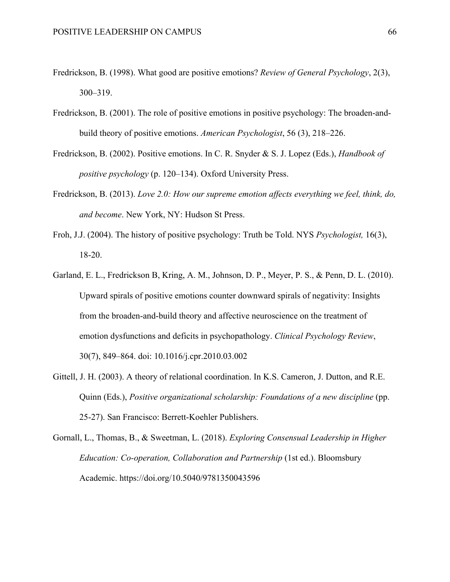- Fredrickson, B. (1998). What good are positive emotions? *Review of General Psychology*, 2(3), 300–319.
- Fredrickson, B. (2001). The role of positive emotions in positive psychology: The broaden-andbuild theory of positive emotions. *American Psychologist*, 56 (3), 218–226.
- Fredrickson, B. (2002). Positive emotions. In C. R. Snyder & S. J. Lopez (Eds.), *Handbook of positive psychology* (p. 120–134). Oxford University Press.
- Fredrickson, B. (2013). *Love 2.0: How our supreme emotion affects everything we feel, think, do, and become*. New York, NY: Hudson St Press.
- Froh, J.J. (2004). The history of positive psychology: Truth be Told. NYS *Psychologist,* 16(3), 18-20.
- Garland, E. L., Fredrickson B, Kring, A. M., Johnson, D. P., Meyer, P. S., & Penn, D. L. (2010). Upward spirals of positive emotions counter downward spirals of negativity: Insights from the broaden-and-build theory and affective neuroscience on the treatment of emotion dysfunctions and deficits in psychopathology. *Clinical Psychology Review*, 30(7), 849–864. doi: 10.1016/j.cpr.2010.03.002
- Gittell, J. H. (2003). A theory of relational coordination. In K.S. Cameron, J. Dutton, and R.E. Quinn (Eds.), *Positive organizational scholarship: Foundations of a new discipline* (pp. 25-27). San Francisco: Berrett-Koehler Publishers.
- Gornall, L., Thomas, B., & Sweetman, L. (2018). *Exploring Consensual Leadership in Higher Education: Co-operation, Collaboration and Partnership* (1st ed.). Bloomsbury Academic. https://doi.org/10.5040/9781350043596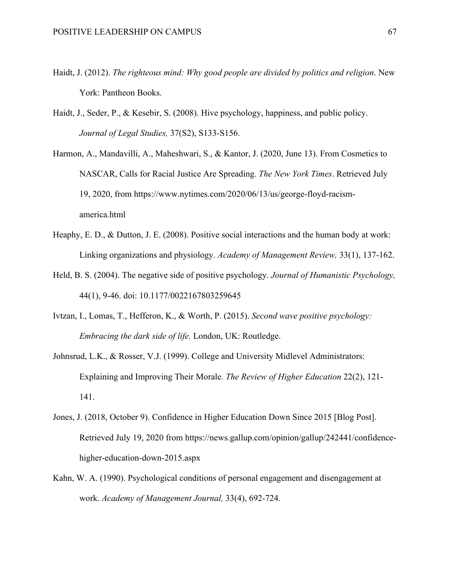- Haidt, J. (2012). *The righteous mind: Why good people are divided by politics and religion*. New York: Pantheon Books.
- Haidt, J., Seder, P., & Kesebir, S. (2008). Hive psychology, happiness, and public policy. *Journal of Legal Studies,* 37(S2), S133-S156.
- Harmon, A., Mandavilli, A., Maheshwari, S., & Kantor, J. (2020, June 13). From Cosmetics to NASCAR, Calls for Racial Justice Are Spreading. *The New York Times*. Retrieved July 19, 2020, from https://www.nytimes.com/2020/06/13/us/george-floyd-racismamerica.html
- Heaphy, E. D., & Dutton, J. E. (2008). Positive social interactions and the human body at work: Linking organizations and physiology. *Academy of Management Review,* 33(1), 137-162.
- Held, B. S. (2004). The negative side of positive psychology. *Journal of Humanistic Psychology,* 44(1), 9-46. doi: 10.1177/0022167803259645
- Ivtzan, I., Lomas, T., Hefferon, K., & Worth, P. (2015). *Second wave positive psychology: Embracing the dark side of life.* London, UK: Routledge.
- Johnsrud, L.K., & Rosser, V.J. (1999). College and University Midlevel Administrators: Explaining and Improving Their Morale. *The Review of Higher Education* 22(2), 121- 141.
- Jones, J. (2018, October 9). Confidence in Higher Education Down Since 2015 [Blog Post]. Retrieved July 19, 2020 from https://news.gallup.com/opinion/gallup/242441/confidencehigher-education-down-2015.aspx
- Kahn, W. A. (1990). Psychological conditions of personal engagement and disengagement at work. *Academy of Management Journal,* 33(4), 692-724.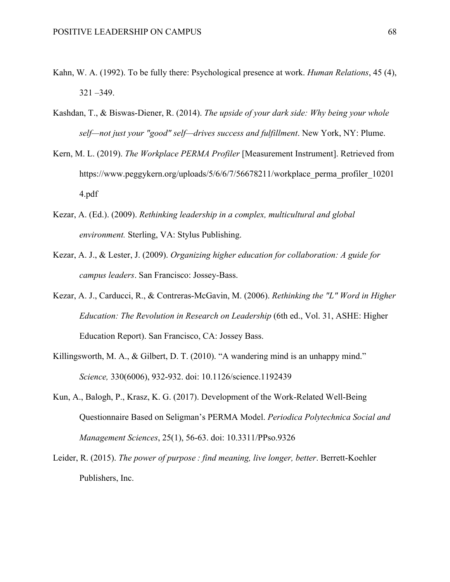- Kahn, W. A. (1992). To be fully there: Psychological presence at work. *Human Relations*, 45 (4), 321 –349.
- Kashdan, T., & Biswas-Diener, R. (2014). *The upside of your dark side: Why being your whole self—not just your "good" self—drives success and fulfillment*. New York, NY: Plume.
- Kern, M. L. (2019). *The Workplace PERMA Profiler* [Measurement Instrument]. Retrieved from https://www.peggykern.org/uploads/5/6/6/7/56678211/workplace\_perma\_profiler\_10201 4.pdf
- Kezar, A. (Ed.). (2009). *Rethinking leadership in a complex, multicultural and global environment.* Sterling, VA: Stylus Publishing.
- Kezar, A. J., & Lester, J. (2009). *Organizing higher education for collaboration: A guide for campus leaders*. San Francisco: Jossey-Bass.
- Kezar, A. J., Carducci, R., & Contreras-McGavin, M. (2006). *Rethinking the "L" Word in Higher Education: The Revolution in Research on Leadership* (6th ed., Vol. 31, ASHE: Higher Education Report). San Francisco, CA: Jossey Bass.
- Killingsworth, M. A., & Gilbert, D. T. (2010). "A wandering mind is an unhappy mind." *Science,* 330(6006), 932-932. doi: 10.1126/science.1192439
- Kun, A., Balogh, P., Krasz, K. G. (2017). Development of the Work-Related Well-Being Questionnaire Based on Seligman's PERMA Model. *Periodica Polytechnica Social and Management Sciences*, 25(1), 56-63. doi: 10.3311/PPso.9326
- Leider, R. (2015). *The power of purpose : find meaning, live longer, better*. Berrett-Koehler Publishers, Inc.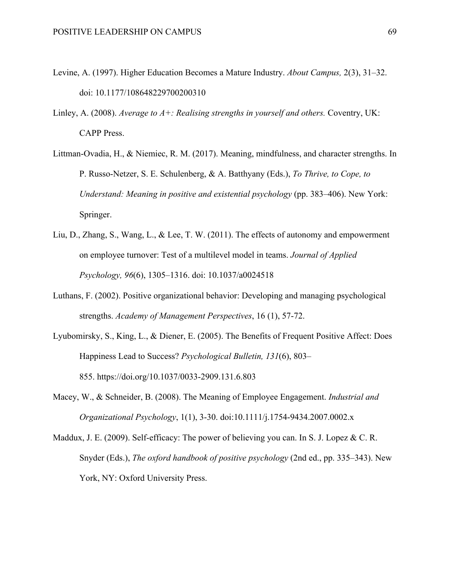- Levine, A. (1997). Higher Education Becomes a Mature Industry. *About Campus,* 2(3), 31–32. doi: 10.1177/108648229700200310
- Linley, A. (2008). *Average to A+: Realising strengths in yourself and others.* Coventry, UK: CAPP Press.
- Littman-Ovadia, H., & Niemiec, R. M. (2017). Meaning, mindfulness, and character strengths. In P. Russo-Netzer, S. E. Schulenberg, & A. Batthyany (Eds.), *To Thrive, to Cope, to Understand: Meaning in positive and existential psychology* (pp. 383–406). New York: Springer.
- Liu, D., Zhang, S., Wang, L., & Lee, T. W. (2011). The effects of autonomy and empowerment on employee turnover: Test of a multilevel model in teams. *Journal of Applied Psychology, 96*(6), 1305–1316. doi: 10.1037/a0024518
- Luthans, F. (2002). Positive organizational behavior: Developing and managing psychological strengths. *Academy of Management Perspectives*, 16 (1), 57-72.
- Lyubomirsky, S., King, L., & Diener, E. (2005). The Benefits of Frequent Positive Affect: Does Happiness Lead to Success? *Psychological Bulletin, 131*(6), 803– 855. https://doi.org/10.1037/0033-2909.131.6.803
- Macey, W., & Schneider, B. (2008). The Meaning of Employee Engagement. *Industrial and Organizational Psychology*, 1(1), 3-30. doi:10.1111/j.1754-9434.2007.0002.x
- Maddux, J. E. (2009). Self-efficacy: The power of believing you can. In S. J. Lopez & C. R. Snyder (Eds.), *The oxford handbook of positive psychology* (2nd ed., pp. 335–343). New York, NY: Oxford University Press.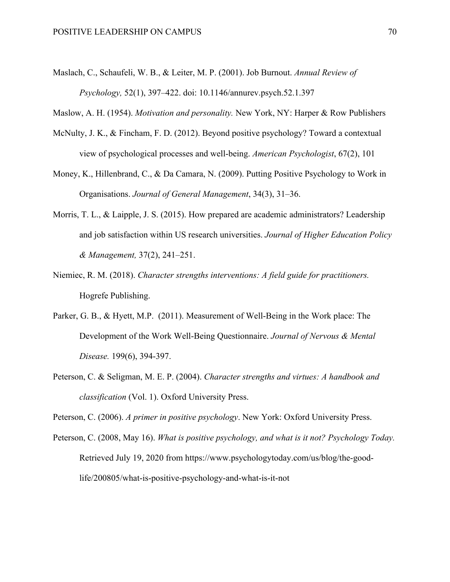Maslach, C., Schaufeli, W. B., & Leiter, M. P. (2001). Job Burnout. *Annual Review of Psychology,* 52(1), 397–422. doi: 10.1146/annurev.psych.52.1.397

Maslow, A. H. (1954). *Motivation and personality.* New York, NY: Harper & Row Publishers

- McNulty, J. K., & Fincham, F. D. (2012). Beyond positive psychology? Toward a contextual view of psychological processes and well-being. *American Psychologist*, 67(2), 101
- Money, K., Hillenbrand, C., & Da Camara, N. (2009). Putting Positive Psychology to Work in Organisations. *Journal of General Management*, 34(3), 31–36.
- Morris, T. L., & Laipple, J. S. (2015). How prepared are academic administrators? Leadership and job satisfaction within US research universities. *Journal of Higher Education Policy & Management,* 37(2), 241–251.
- Niemiec, R. M. (2018). *Character strengths interventions: A field guide for practitioners.*  Hogrefe Publishing.
- Parker, G. B., & Hyett, M.P. (2011). Measurement of Well-Being in the Work place: The Development of the Work Well-Being Questionnaire. *Journal of Nervous & Mental Disease.* 199(6), 394-397.
- Peterson, C. & Seligman, M. E. P. (2004). *Character strengths and virtues: A handbook and classification* (Vol. 1). Oxford University Press.

Peterson, C. (2006). *A primer in positive psychology*. New York: Oxford University Press.

Peterson, C. (2008, May 16). *What is positive psychology, and what is it not? Psychology Today.* Retrieved July 19, 2020 from https://www.psychologytoday.com/us/blog/the-goodlife/200805/what-is-positive-psychology-and-what-is-it-not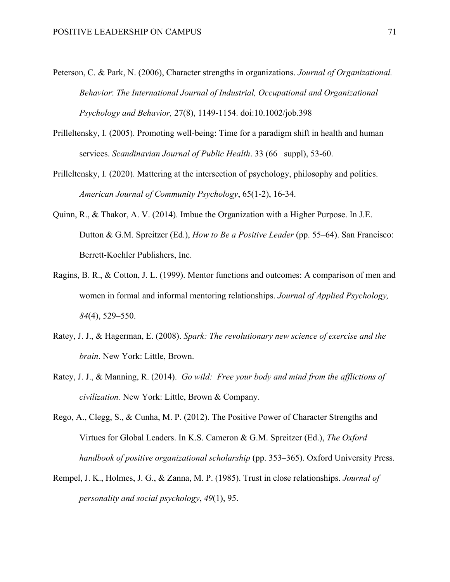- Peterson, C. & Park, N. (2006), Character strengths in organizations. *Journal of Organizational. Behavior*: *The International Journal of Industrial, Occupational and Organizational Psychology and Behavior,* 27(8), 1149-1154. doi:10.1002/job.398
- Prilleltensky, I. (2005). Promoting well-being: Time for a paradigm shift in health and human services. *Scandinavian Journal of Public Health*. 33 (66\_ suppl), 53-60.
- Prilleltensky, I. (2020). Mattering at the intersection of psychology, philosophy and politics. *American Journal of Community Psychology*, 65(1-2), 16-34.
- Quinn, R., & Thakor, A. V. (2014). Imbue the Organization with a Higher Purpose. In J.E. Dutton & G.M. Spreitzer (Ed.), *How to Be a Positive Leader* (pp. 55–64). San Francisco: Berrett-Koehler Publishers, Inc.
- Ragins, B. R., & Cotton, J. L. (1999). Mentor functions and outcomes: A comparison of men and women in formal and informal mentoring relationships. *Journal of Applied Psychology, 84*(4), 529–550.
- Ratey, J. J., & Hagerman, E. (2008). *Spark: The revolutionary new science of exercise and the brain*. New York: Little, Brown.
- Ratey, J. J., & Manning, R. (2014). *Go wild: Free your body and mind from the afflictions of civilization.* New York: Little, Brown & Company.
- Rego, A., Clegg, S., & Cunha, M. P. (2012). The Positive Power of Character Strengths and Virtues for Global Leaders. In K.S. Cameron & G.M. Spreitzer (Ed.), *The Oxford handbook of positive organizational scholarship* (pp. 353–365). Oxford University Press.
- Rempel, J. K., Holmes, J. G., & Zanna, M. P. (1985). Trust in close relationships. *Journal of personality and social psychology*, *49*(1), 95.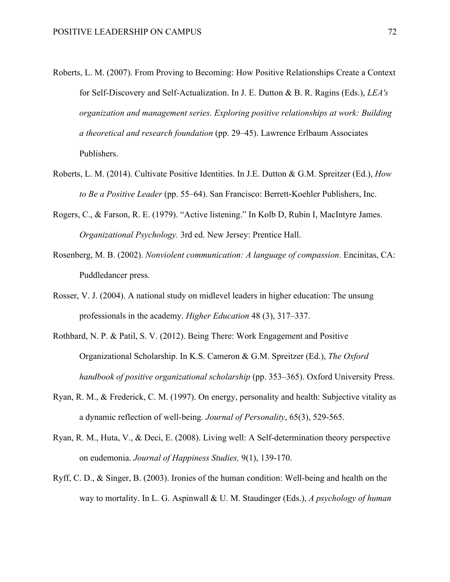- Roberts, L. M. (2007). From Proving to Becoming: How Positive Relationships Create a Context for Self-Discovery and Self-Actualization. In J. E. Dutton & B. R. Ragins (Eds.), *LEA's organization and management series. Exploring positive relationships at work: Building a theoretical and research foundation* (pp. 29–45). Lawrence Erlbaum Associates Publishers.
- Roberts, L. M. (2014). Cultivate Positive Identities. In J.E. Dutton & G.M. Spreitzer (Ed.), *How to Be a Positive Leader* (pp. 55–64). San Francisco: Berrett-Koehler Publishers, Inc.
- Rogers, C., & Farson, R. E. (1979). "Active listening." In Kolb D, Rubin I, MacIntyre James. *Organizational Psychology.* 3rd ed. New Jersey: Prentice Hall.
- Rosenberg, M. B. (2002). *Nonviolent communication: A language of compassion*. Encinitas, CA: Puddledancer press.
- Rosser, V. J. (2004). A national study on midlevel leaders in higher education: The unsung professionals in the academy. *Higher Education* 48 (3), 317–337.
- Rothbard, N. P. & Patil, S. V. (2012). Being There: Work Engagement and Positive Organizational Scholarship. In K.S. Cameron & G.M. Spreitzer (Ed.), *The Oxford handbook of positive organizational scholarship* (pp. 353–365). Oxford University Press.
- Ryan, R. M., & Frederick, C. M. (1997). On energy, personality and health: Subjective vitality as a dynamic reflection of well-being*. Journal of Personality*, 65(3), 529-565.
- Ryan, R. M., Huta, V., & Deci, E. (2008). Living well: A Self-determination theory perspective on eudemonia. *Journal of Happiness Studies,* 9(1), 139-170.
- Ryff, C. D., & Singer, B. (2003). Ironies of the human condition: Well-being and health on the way to mortality. In L. G. Aspinwall & U. M. Staudinger (Eds.), *A psychology of human*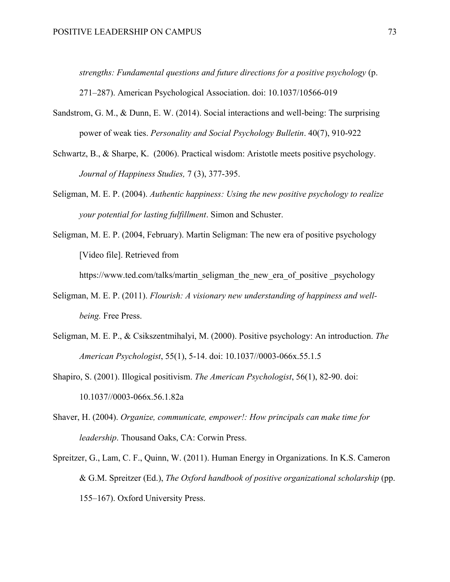*strengths: Fundamental questions and future directions for a positive psychology* (p.

271–287). American Psychological Association. doi: 10.1037/10566-019

- Sandstrom, G. M., & Dunn, E. W. (2014). Social interactions and well-being: The surprising power of weak ties. *Personality and Social Psychology Bulletin*. 40(7), 910-922
- Schwartz, B., & Sharpe, K. (2006). Practical wisdom: Aristotle meets positive psychology. *Journal of Happiness Studies,* 7 (3), 377-395.
- Seligman, M. E. P. (2004). *Authentic happiness: Using the new positive psychology to realize your potential for lasting fulfillment*. Simon and Schuster.
- Seligman, M. E. P. (2004, February). Martin Seligman: The new era of positive psychology [Video file]. Retrieved from

https://www.ted.com/talks/martin\_seligman\_the\_new\_era\_of\_positive \_psychology

- Seligman, M. E. P. (2011). *Flourish: A visionary new understanding of happiness and wellbeing.* Free Press.
- Seligman, M. E. P., & Csikszentmihalyi, M. (2000). Positive psychology: An introduction. *The American Psychologist*, 55(1), 5-14. doi: 10.1037//0003-066x.55.1.5
- Shapiro, S. (2001). Illogical positivism. *The American Psychologist*, 56(1), 82-90. doi: 10.1037//0003-066x.56.1.82a
- Shaver, H. (2004). *Organize, communicate, empower!: How principals can make time for leadership*. Thousand Oaks, CA: Corwin Press.
- Spreitzer, G., Lam, C. F., Quinn, W. (2011). Human Energy in Organizations. In K.S. Cameron & G.M. Spreitzer (Ed.), *The Oxford handbook of positive organizational scholarship* (pp. 155–167). Oxford University Press.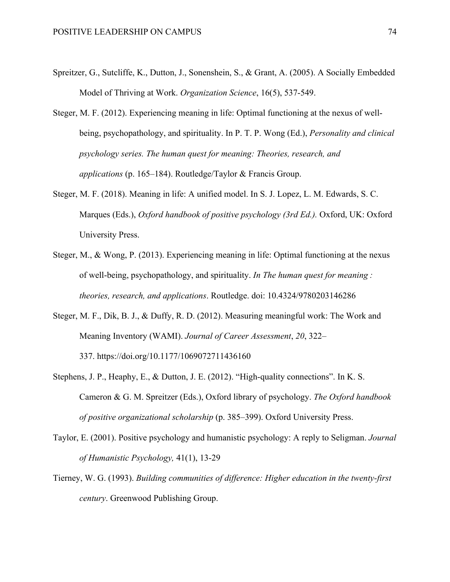- Spreitzer, G., Sutcliffe, K., Dutton, J., Sonenshein, S., & Grant, A. (2005). A Socially Embedded Model of Thriving at Work. *Organization Science*, 16(5), 537-549.
- Steger, M. F. (2012). Experiencing meaning in life: Optimal functioning at the nexus of wellbeing, psychopathology, and spirituality. In P. T. P. Wong (Ed.), *Personality and clinical psychology series. The human quest for meaning: Theories, research, and applications* (p. 165–184). Routledge/Taylor & Francis Group.
- Steger, M. F. (2018). Meaning in life: A unified model. In S. J. Lopez, L. M. Edwards, S. C. Marques (Eds.), *Oxford handbook of positive psychology (3rd Ed.).* Oxford, UK: Oxford University Press.
- Steger, M., & Wong, P. (2013). Experiencing meaning in life: Optimal functioning at the nexus of well-being, psychopathology, and spirituality. *In The human quest for meaning : theories, research, and applications*. Routledge. doi: 10.4324/9780203146286
- Steger, M. F., Dik, B. J., & Duffy, R. D. (2012). Measuring meaningful work: The Work and Meaning Inventory (WAMI). *Journal of Career Assessment*, *20*, 322– 337. https://doi.org/10.1177/1069072711436160
- Stephens, J. P., Heaphy, E., & Dutton, J. E. (2012). "High-quality connections". In K. S. Cameron & G. M. Spreitzer (Eds.), Oxford library of psychology. *The Oxford handbook of positive organizational scholarship* (p. 385–399). Oxford University Press.
- Taylor, E. (2001). Positive psychology and humanistic psychology: A reply to Seligman. *Journal of Humanistic Psychology,* 41(1), 13-29
- Tierney, W. G. (1993). *Building communities of difference: Higher education in the twenty-first century*. Greenwood Publishing Group.